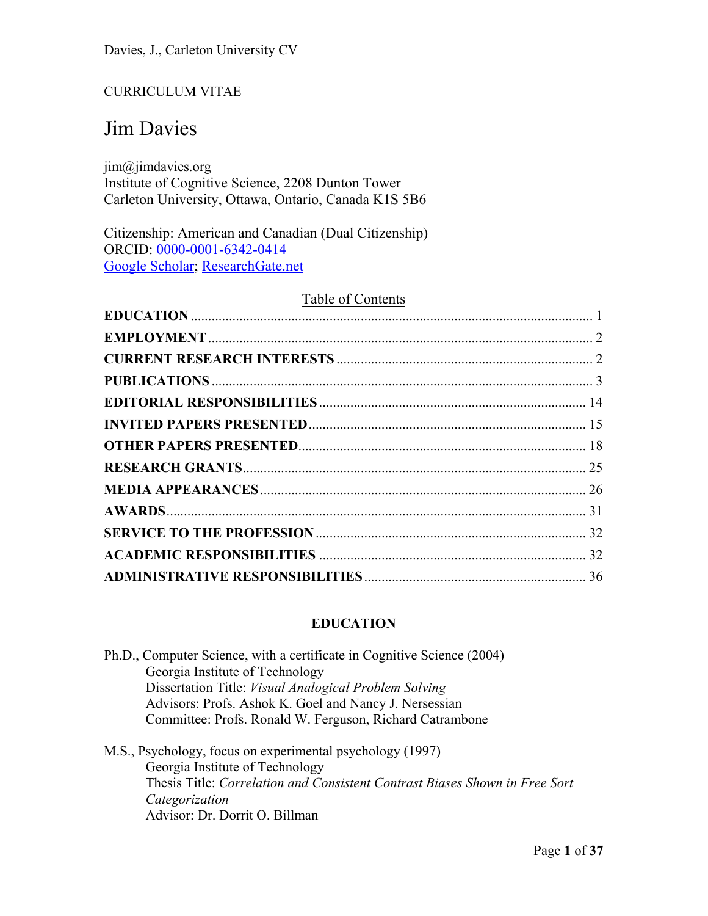# CURRICULUM VITAE

# Jim Davies

jim@jimdavies.org Institute of Cognitive Science, 2208 Dunton Tower Carleton University, Ottawa, Ontario, Canada K1S 5B6

Citizenship: American and Canadian (Dual Citizenship) ORCID: 0000-0001-6342-0414 Google Scholar; ResearchGate.net

# Table of Contents

# **EDUCATION**

| Ph.D., Computer Science, with a certificate in Cognitive Science (2004) |
|-------------------------------------------------------------------------|
| Georgia Institute of Technology                                         |
| Dissertation Title: Visual Analogical Problem Solving                   |
| Advisors: Profs. Ashok K. Goel and Nancy J. Nersessian                  |
| Committee: Profs. Ronald W. Ferguson, Richard Catrambone                |
|                                                                         |

M.S., Psychology, focus on experimental psychology (1997) Georgia Institute of Technology Thesis Title: *Correlation and Consistent Contrast Biases Shown in Free Sort Categorization*  Advisor: Dr. Dorrit O. Billman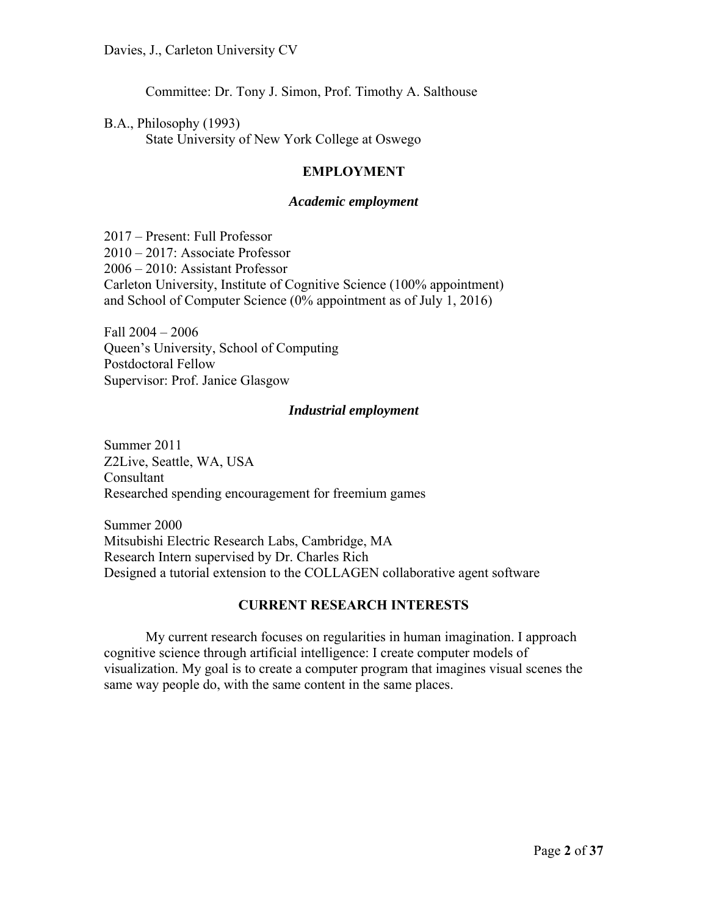Committee: Dr. Tony J. Simon, Prof. Timothy A. Salthouse

B.A., Philosophy (1993) State University of New York College at Oswego

#### **EMPLOYMENT**

#### *Academic employment*

2017 – Present: Full Professor 2010 – 2017: Associate Professor 2006 – 2010: Assistant Professor Carleton University, Institute of Cognitive Science (100% appointment) and School of Computer Science (0% appointment as of July 1, 2016)

Fall 2004 – 2006 Queen's University, School of Computing Postdoctoral Fellow Supervisor: Prof. Janice Glasgow

#### *Industrial employment*

Summer 2011 Z2Live, Seattle, WA, USA Consultant Researched spending encouragement for freemium games

Summer 2000 Mitsubishi Electric Research Labs, Cambridge, MA Research Intern supervised by Dr. Charles Rich Designed a tutorial extension to the COLLAGEN collaborative agent software

#### **CURRENT RESEARCH INTERESTS**

My current research focuses on regularities in human imagination. I approach cognitive science through artificial intelligence: I create computer models of visualization. My goal is to create a computer program that imagines visual scenes the same way people do, with the same content in the same places.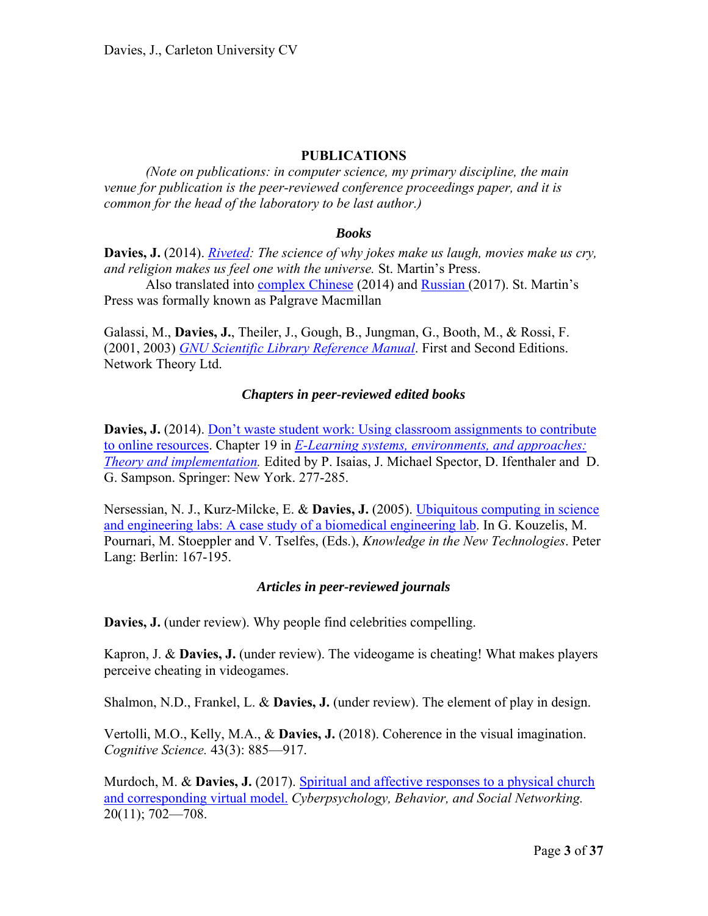#### **PUBLICATIONS**

 *(Note on publications: in computer science, my primary discipline, the main venue for publication is the peer-reviewed conference proceedings paper, and it is common for the head of the laboratory to be last author.)* 

#### *Books*

**Davies, J.** (2014). *Riveted: The science of why jokes make us laugh, movies make us cry, and religion makes us feel one with the universe.* St. Martin's Press.

Also translated into complex Chinese (2014) and Russian (2017). St. Martin's Press was formally known as Palgrave Macmillan

Galassi, M., **Davies, J.**, Theiler, J., Gough, B., Jungman, G., Booth, M., & Rossi, F. (2001, 2003) *GNU Scientific Library Reference Manual*. First and Second Editions. Network Theory Ltd.

#### *Chapters in peer-reviewed edited books*

**Davies, J.** (2014). Don't waste student work: Using classroom assignments to contribute to online resources. Chapter 19 in *E-Learning systems, environments, and approaches: Theory and implementation.* Edited by P. Isaias, J. Michael Spector, D. Ifenthaler and D. G. Sampson. Springer: New York. 277-285.

Nersessian, N. J., Kurz-Milcke, E. & **Davies, J.** (2005). Ubiquitous computing in science and engineering labs: A case study of a biomedical engineering lab. In G. Kouzelis, M. Pournari, M. Stoeppler and V. Tselfes, (Eds.), *Knowledge in the New Technologies*. Peter Lang: Berlin: 167-195.

#### *Articles in peer-reviewed journals*

**Davies, J.** (under review). Why people find celebrities compelling.

Kapron, J. & **Davies, J.** (under review). The videogame is cheating! What makes players perceive cheating in videogames.

Shalmon, N.D., Frankel, L. & **Davies, J.** (under review). The element of play in design.

Vertolli, M.O., Kelly, M.A., & **Davies, J.** (2018). Coherence in the visual imagination. *Cognitive Science.* 43(3): 885—917.

Murdoch, M. & **Davies, J.** (2017). Spiritual and affective responses to a physical church and corresponding virtual model. *Cyberpsychology, Behavior, and Social Networking.*  20(11); 702—708.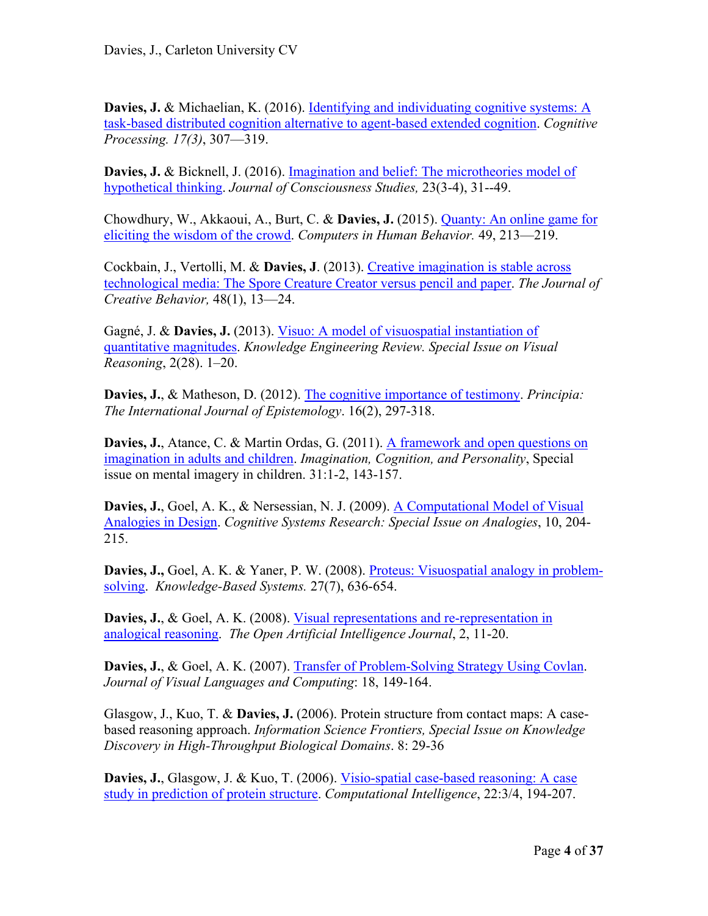**Davies, J. & Michaelian, K. (2016). Identifying and individuating cognitive systems: A** task-based distributed cognition alternative to agent-based extended cognition. *Cognitive Processing. 17(3)*, 307—319.

Davies, J. & Bicknell, J. (2016). Imagination and belief: The microtheories model of hypothetical thinking. *Journal of Consciousness Studies,* 23(3-4), 31--49.

Chowdhury, W., Akkaoui, A., Burt, C. & **Davies, J.** (2015). Quanty: An online game for eliciting the wisdom of the crowd. *Computers in Human Behavior.* 49, 213—219.

Cockbain, J., Vertolli, M. & **Davies, J**. (2013). Creative imagination is stable across technological media: The Spore Creature Creator versus pencil and paper. *The Journal of Creative Behavior,* 48(1), 13—24.

Gagné, J. & **Davies, J.** (2013). Visuo: A model of visuospatial instantiation of quantitative magnitudes. *Knowledge Engineering Review. Special Issue on Visual Reasoning*, 2(28). 1–20.

**Davies, J.**, & Matheson, D. (2012). The cognitive importance of testimony. *Principia: The International Journal of Epistemology*. 16(2), 297-318.

**Davies, J.**, Atance, C. & Martin Ordas, G. (2011). A framework and open questions on imagination in adults and children. *Imagination, Cognition, and Personality*, Special issue on mental imagery in children. 31:1-2, 143-157.

**Davies, J.**, Goel, A. K., & Nersessian, N. J. (2009). A Computational Model of Visual Analogies in Design. *Cognitive Systems Research: Special Issue on Analogies*, 10, 204- 215.

**Davies, J.,** Goel, A. K. & Yaner, P. W. (2008). Proteus: Visuospatial analogy in problemsolving. *Knowledge-Based Systems.* 27(7), 636-654.

**Davies, J.**, & Goel, A. K. (2008). Visual representations and re-representation in analogical reasoning. *The Open Artificial Intelligence Journal*, 2, 11-20.

**Davies, J.**, & Goel, A. K. (2007). Transfer of Problem-Solving Strategy Using Covlan. *Journal of Visual Languages and Computing*: 18, 149-164.

Glasgow, J., Kuo, T. & **Davies, J.** (2006). Protein structure from contact maps: A casebased reasoning approach. *Information Science Frontiers, Special Issue on Knowledge Discovery in High-Throughput Biological Domains*. 8: 29-36

**Davies, J.**, Glasgow, J. & Kuo, T. (2006). Visio-spatial case-based reasoning: A case study in prediction of protein structure. *Computational Intelligence*, 22:3/4, 194-207.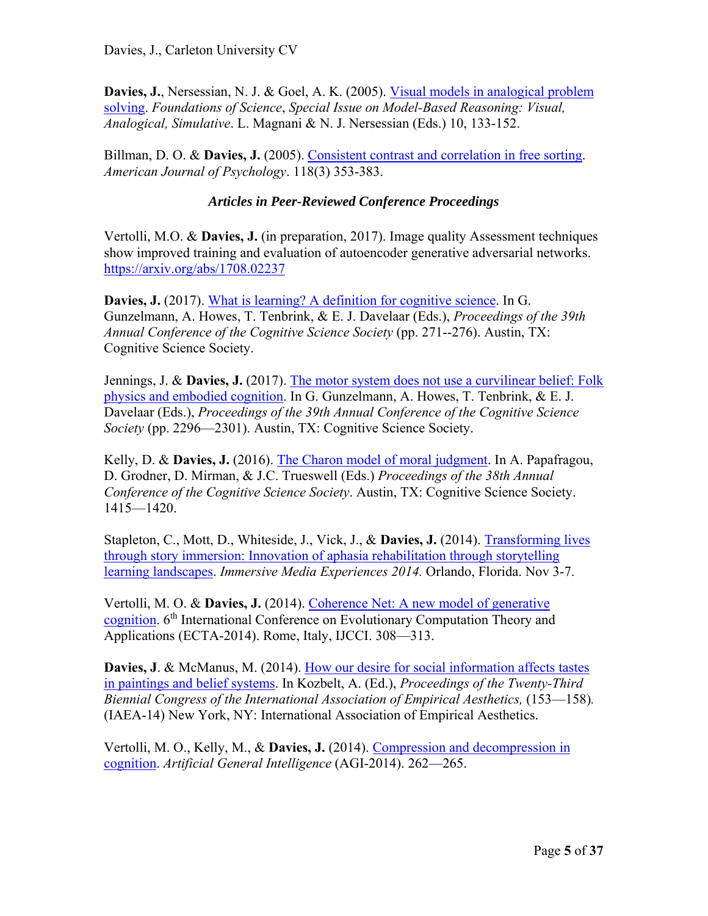**Davies, J.**, Nersessian, N. J. & Goel, A. K. (2005). Visual models in analogical problem solving. *Foundations of Science*, *Special Issue on Model-Based Reasoning: Visual, Analogical, Simulative*. L. Magnani & N. J. Nersessian (Eds.) 10, 133-152.

Billman, D. O. & **Davies, J.** (2005). Consistent contrast and correlation in free sorting. *American Journal of Psychology*. 118(3) 353-383.

# *Articles in Peer-Reviewed Conference Proceedings*

Vertolli, M.O. & **Davies, J.** (in preparation, 2017). Image quality Assessment techniques show improved training and evaluation of autoencoder generative adversarial networks. https://arxiv.org/abs/1708.02237

**Davies, J.** (2017). What is learning? A definition for cognitive science. In G. Gunzelmann, A. Howes, T. Tenbrink, & E. J. Davelaar (Eds.), *Proceedings of the 39th Annual Conference of the Cognitive Science Society* (pp. 271--276). Austin, TX: Cognitive Science Society.

Jennings, J. & **Davies, J.** (2017). The motor system does not use a curvilinear belief: Folk physics and embodied cognition. In G. Gunzelmann, A. Howes, T. Tenbrink, & E. J. Davelaar (Eds.), *Proceedings of the 39th Annual Conference of the Cognitive Science Society* (pp. 2296—2301). Austin, TX: Cognitive Science Society.

Kelly, D. & **Davies, J.** (2016). The Charon model of moral judgment. In A. Papafragou, D. Grodner, D. Mirman, & J.C. Trueswell (Eds.) *Proceedings of the 38th Annual Conference of the Cognitive Science Society*. Austin, TX: Cognitive Science Society. 1415—1420.

Stapleton, C., Mott, D., Whiteside, J., Vick, J., & **Davies, J.** (2014). Transforming lives through story immersion: Innovation of aphasia rehabilitation through storytelling learning landscapes. *Immersive Media Experiences 2014.* Orlando, Florida. Nov 3-7.

Vertolli, M. O. & **Davies, J.** (2014). Coherence Net: A new model of generative cognition. 6<sup>th</sup> International Conference on Evolutionary Computation Theory and Applications (ECTA-2014). Rome, Italy, IJCCI. 308—313.

**Davies, J**. & McManus, M. (2014). How our desire for social information affects tastes in paintings and belief systems. In Kozbelt, A. (Ed.), *Proceedings of the Twenty-Third Biennial Congress of the International Association of Empirical Aesthetics, (153—158).* (IAEA-14) New York, NY: International Association of Empirical Aesthetics.

Vertolli, M. O., Kelly, M., & **Davies, J.** (2014). Compression and decompression in cognition. *Artificial General Intelligence* (AGI-2014). 262—265.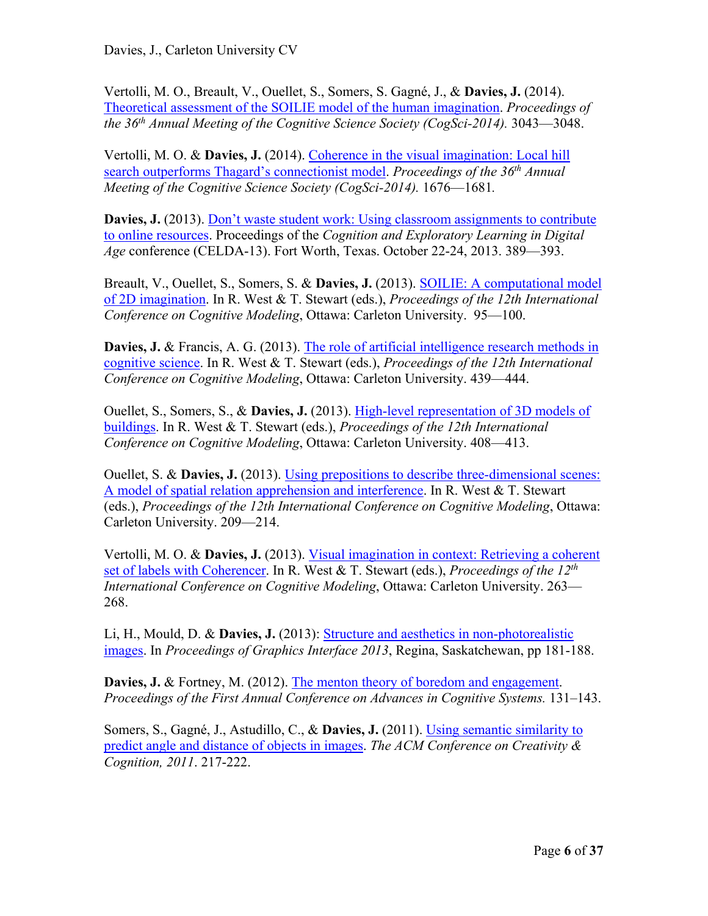Vertolli, M. O., Breault, V., Ouellet, S., Somers, S. Gagné, J., & **Davies, J.** (2014). Theoretical assessment of the SOILIE model of the human imagination. *Proceedings of the 36th Annual Meeting of the Cognitive Science Society (CogSci-2014).* 3043—3048.

Vertolli, M. O. & **Davies, J.** (2014). Coherence in the visual imagination: Local hill search outperforms Thagard's connectionist model. *Proceedings of the 36th Annual Meeting of the Cognitive Science Society (CogSci-2014).* 1676—1681*.* 

Davies, J. (2013). Don't waste student work: Using classroom assignments to contribute to online resources. Proceedings of the *Cognition and Exploratory Learning in Digital Age* conference (CELDA-13). Fort Worth, Texas. October 22-24, 2013. 389—393.

Breault, V., Ouellet, S., Somers, S. & **Davies, J.** (2013). SOILIE: A computational model of 2D imagination. In R. West & T. Stewart (eds.), *Proceedings of the 12th International Conference on Cognitive Modeling*, Ottawa: Carleton University. 95—100.

**Davies, J. & Francis, A. G. (2013). The role of artificial intelligence research methods in** cognitive science. In R. West & T. Stewart (eds.), *Proceedings of the 12th International Conference on Cognitive Modeling*, Ottawa: Carleton University. 439—444.

Ouellet, S., Somers, S., & **Davies, J.** (2013). High-level representation of 3D models of buildings. In R. West & T. Stewart (eds.), *Proceedings of the 12th International Conference on Cognitive Modeling*, Ottawa: Carleton University. 408—413.

Ouellet, S. & **Davies, J.** (2013). Using prepositions to describe three-dimensional scenes: A model of spatial relation apprehension and interference. In R. West & T. Stewart (eds.), *Proceedings of the 12th International Conference on Cognitive Modeling*, Ottawa: Carleton University. 209—214.

Vertolli, M. O. & **Davies, J.** (2013). Visual imagination in context: Retrieving a coherent set of labels with Coherencer. In R. West & T. Stewart (eds.), *Proceedings of the 12th International Conference on Cognitive Modeling*, Ottawa: Carleton University. 263— 268.

Li, H., Mould, D. & **Davies, J.** (2013): Structure and aesthetics in non-photorealistic images. In *Proceedings of Graphics Interface 2013*, Regina, Saskatchewan, pp 181-188.

**Davies, J. & Fortney, M. (2012). The menton theory of boredom and engagement.** *Proceedings of the First Annual Conference on Advances in Cognitive Systems.* 131–143.

Somers, S., Gagné, J., Astudillo, C., & **Davies, J.** (2011). Using semantic similarity to predict angle and distance of objects in images. *The ACM Conference on Creativity & Cognition, 2011*. 217-222.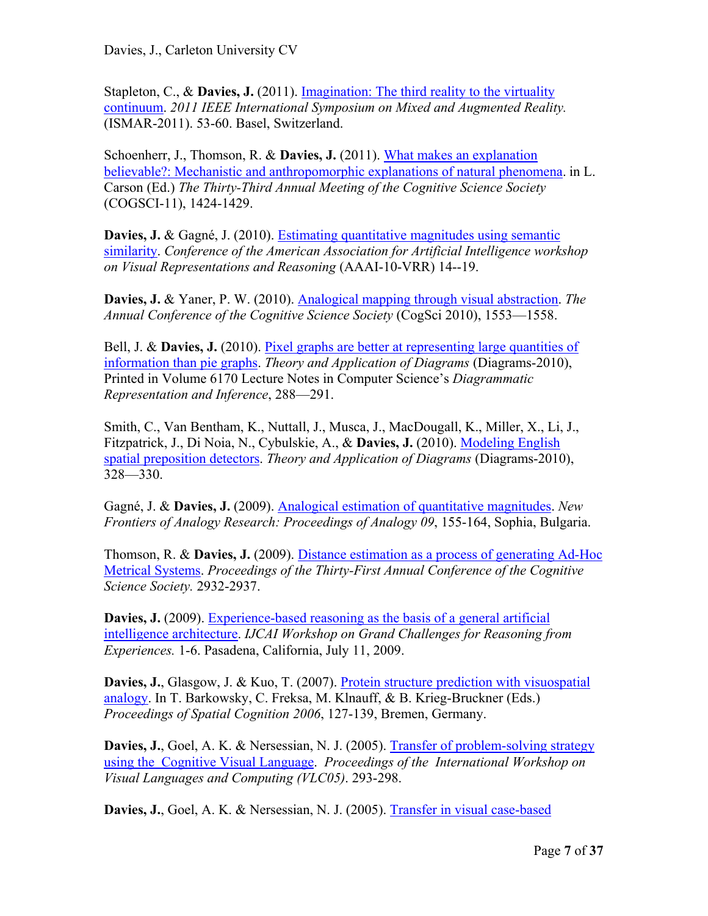Stapleton, C., & **Davies, J.** (2011). Imagination: The third reality to the virtuality continuum. *2011 IEEE International Symposium on Mixed and Augmented Reality.*  (ISMAR-2011). 53-60. Basel, Switzerland.

Schoenherr, J., Thomson, R. & **Davies, J.** (2011). What makes an explanation believable?: Mechanistic and anthropomorphic explanations of natural phenomena. in L. Carson (Ed.) *The Thirty-Third Annual Meeting of the Cognitive Science Society*  (COGSCI-11), 1424-1429.

**Davies, J.** & Gagné, J. (2010). Estimating quantitative magnitudes using semantic similarity. *Conference of the American Association for Artificial Intelligence workshop on Visual Representations and Reasoning* (AAAI-10-VRR) 14--19.

**Davies, J.** & Yaner, P. W. (2010). Analogical mapping through visual abstraction. *The Annual Conference of the Cognitive Science Society* (CogSci 2010), 1553—1558.

Bell, J. & **Davies, J.** (2010). Pixel graphs are better at representing large quantities of information than pie graphs. *Theory and Application of Diagrams* (Diagrams-2010), Printed in Volume 6170 Lecture Notes in Computer Science's *Diagrammatic Representation and Inference*, 288—291.

Smith, C., Van Bentham, K., Nuttall, J., Musca, J., MacDougall, K., Miller, X., Li, J., Fitzpatrick, J., Di Noia, N., Cybulskie, A., & **Davies, J.** (2010). Modeling English spatial preposition detectors. *Theory and Application of Diagrams* (Diagrams-2010), 328—330.

Gagné, J. & **Davies, J.** (2009). Analogical estimation of quantitative magnitudes. *New Frontiers of Analogy Research: Proceedings of Analogy 09*, 155-164, Sophia, Bulgaria.

Thomson, R. & **Davies, J.** (2009). Distance estimation as a process of generating Ad-Hoc Metrical Systems. *Proceedings of the Thirty-First Annual Conference of the Cognitive Science Society.* 2932-2937.

**Davies, J.** (2009). Experience-based reasoning as the basis of a general artificial intelligence architecture. *IJCAI Workshop on Grand Challenges for Reasoning from Experiences.* 1-6. Pasadena, California, July 11, 2009.

**Davies, J.**, Glasgow, J. & Kuo, T. (2007). Protein structure prediction with visuospatial analogy. In T. Barkowsky, C. Freksa, M. Klnauff, & B. Krieg-Bruckner (Eds.) *Proceedings of Spatial Cognition 2006*, 127-139, Bremen, Germany.

**Davies, J., Goel, A. K. & Nersessian, N. J. (2005). Transfer of problem-solving strategy** using the Cognitive Visual Language. *Proceedings of the International Workshop on Visual Languages and Computing (VLC05)*. 293-298.

**Davies, J.**, Goel, A. K. & Nersessian, N. J. (2005). Transfer in visual case-based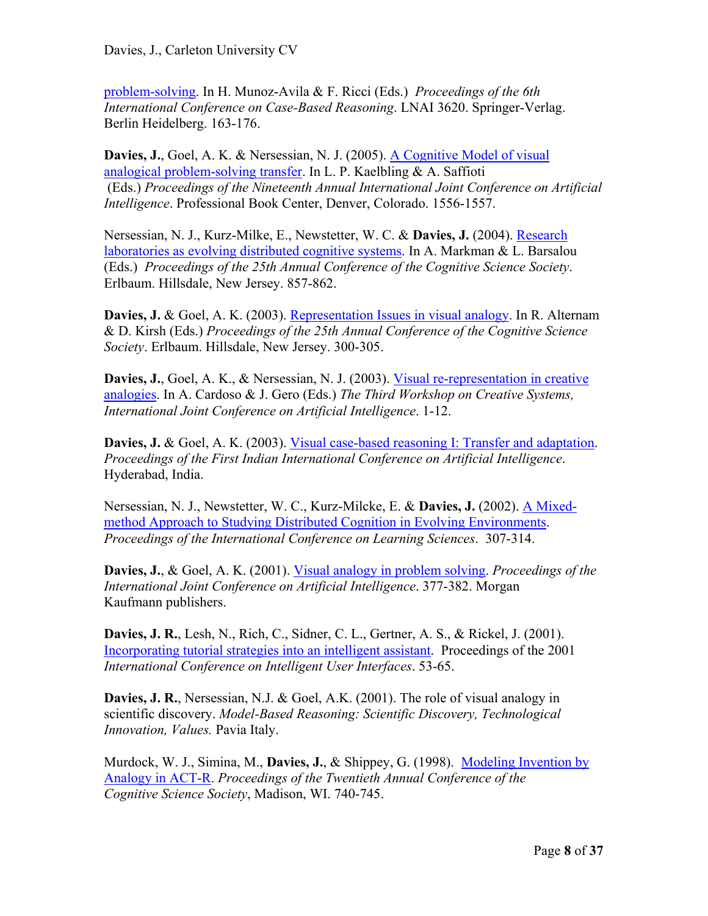problem-solving. In H. Munoz-Avila & F. Ricci (Eds.) *Proceedings of the 6th International Conference on Case-Based Reasoning*. LNAI 3620. Springer-Verlag. Berlin Heidelberg. 163-176.

**Davies, J.**, Goel, A. K. & Nersessian, N. J. (2005). A Cognitive Model of visual analogical problem-solving transfer. In L. P. Kaelbling & A. Saffioti (Eds.) *Proceedings of the Nineteenth Annual International Joint Conference on Artificial Intelligence*. Professional Book Center, Denver, Colorado. 1556-1557.

Nersessian, N. J., Kurz-Milke, E., Newstetter, W. C. & **Davies, J.** (2004). Research laboratories as evolving distributed cognitive systems. In A. Markman & L. Barsalou (Eds.) *Proceedings of the 25th Annual Conference of the Cognitive Science Society*. Erlbaum. Hillsdale, New Jersey. 857-862.

**Davies, J.** & Goel, A. K. (2003). Representation Issues in visual analogy. In R. Alternam & D. Kirsh (Eds.) *Proceedings of the 25th Annual Conference of the Cognitive Science Society*. Erlbaum. Hillsdale, New Jersey. 300-305.

**Davies, J.**, Goel, A. K., & Nersessian, N. J. (2003). Visual re-representation in creative analogies. In A. Cardoso & J. Gero (Eds.) *The Third Workshop on Creative Systems, International Joint Conference on Artificial Intelligence*. 1-12.

**Davies, J.** & Goel, A. K. (2003). Visual case-based reasoning I: Transfer and adaptation. *Proceedings of the First Indian International Conference on Artificial Intelligence*. Hyderabad, India.

Nersessian, N. J., Newstetter, W. C., Kurz-Milcke, E. & **Davies, J.** (2002). A Mixedmethod Approach to Studying Distributed Cognition in Evolving Environments. *Proceedings of the International Conference on Learning Sciences*. 307-314.

**Davies, J.**, & Goel, A. K. (2001). Visual analogy in problem solving. *Proceedings of the International Joint Conference on Artificial Intelligence*. 377-382. Morgan Kaufmann publishers.

**Davies, J. R.**, Lesh, N., Rich, C., Sidner, C. L., Gertner, A. S., & Rickel, J. (2001). Incorporating tutorial strategies into an intelligent assistant. Proceedings of the 2001 *International Conference on Intelligent User Interfaces*. 53-65.

**Davies, J. R.**, Nersessian, N.J. & Goel, A.K. (2001). The role of visual analogy in scientific discovery. *Model-Based Reasoning: Scientific Discovery, Technological Innovation, Values.* Pavia Italy.

Murdock, W. J., Simina, M., **Davies, J.**, & Shippey, G. (1998). Modeling Invention by Analogy in ACT-R. *Proceedings of the Twentieth Annual Conference of the Cognitive Science Society*, Madison, WI. 740-745.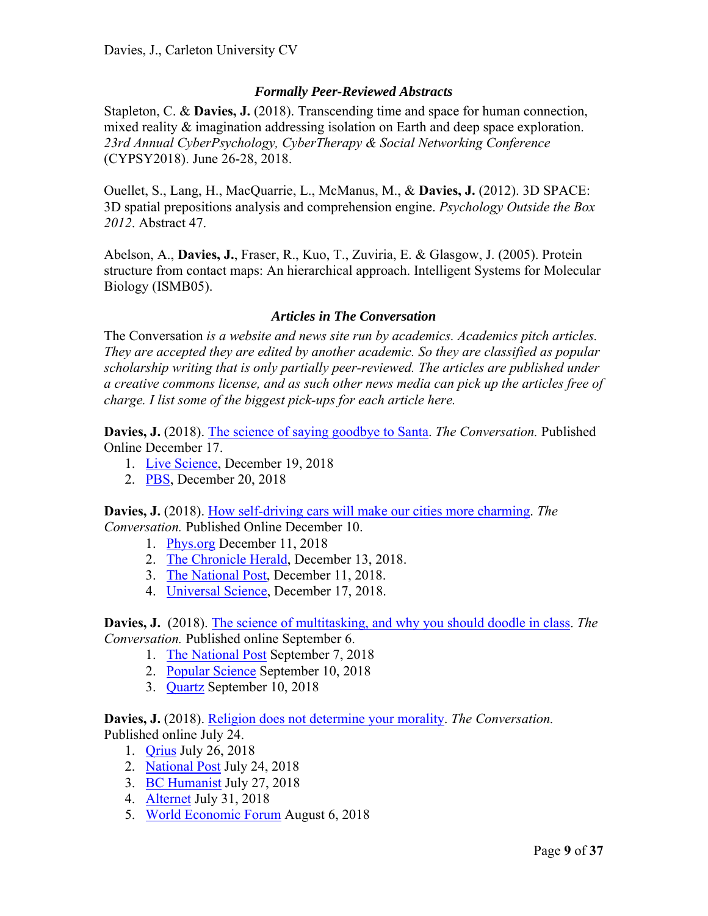# *Formally Peer-Reviewed Abstracts*

Stapleton, C. & **Davies, J.** (2018). Transcending time and space for human connection, mixed reality & imagination addressing isolation on Earth and deep space exploration. *23rd Annual CyberPsychology, CyberTherapy & Social Networking Conference* (CYPSY2018). June 26-28, 2018.

Ouellet, S., Lang, H., MacQuarrie, L., McManus, M., & **Davies, J.** (2012). 3D SPACE: 3D spatial prepositions analysis and comprehension engine. *Psychology Outside the Box 2012*. Abstract 47.

Abelson, A., **Davies, J.**, Fraser, R., Kuo, T., Zuviria, E. & Glasgow, J. (2005). Protein structure from contact maps: An hierarchical approach. Intelligent Systems for Molecular Biology (ISMB05).

#### *Articles in The Conversation*

The Conversation *is a website and news site run by academics. Academics pitch articles. They are accepted they are edited by another academic. So they are classified as popular scholarship writing that is only partially peer-reviewed. The articles are published under a creative commons license, and as such other news media can pick up the articles free of charge. I list some of the biggest pick-ups for each article here.* 

**Davies, J.** (2018). The science of saying goodbye to Santa. *The Conversation.* Published Online December 17.

- 1. Live Science, December 19, 2018
- 2. PBS, December 20, 2018

**Davies, J.** (2018). How self-driving cars will make our cities more charming. *The Conversation.* Published Online December 10.

- 1. Phys.org December 11, 2018
- 2. The Chronicle Herald, December 13, 2018.
- 3. The National Post, December 11, 2018.
- 4. Universal Science, December 17, 2018.

**Davies, J.** (2018). The science of multitasking, and why you should doodle in class. *The Conversation.* Published online September 6.

- 1. The National Post September 7, 2018
- 2. Popular Science September 10, 2018
- 3. Quartz September 10, 2018

**Davies, J.** (2018). Religion does not determine your morality. *The Conversation.*  Published online July 24.

- 1. Qrius July 26, 2018
- 2. National Post July 24, 2018
- 3. BC Humanist July 27, 2018
- 4. Alternet July 31, 2018
- 5. World Economic Forum August 6, 2018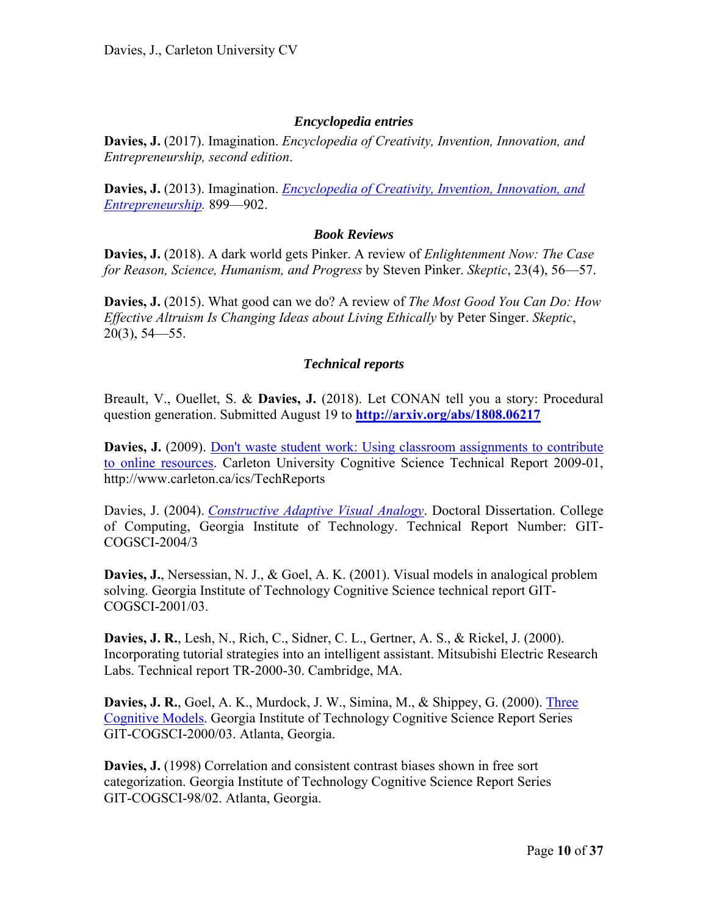#### *Encyclopedia entries*

**Davies, J.** (2017). Imagination. *Encyclopedia of Creativity, Invention, Innovation, and Entrepreneurship, second edition*.

**Davies, J.** (2013). Imagination. *Encyclopedia of Creativity, Invention, Innovation, and Entrepreneurship.* 899—902.

#### *Book Reviews*

**Davies, J.** (2018). A dark world gets Pinker. A review of *Enlightenment Now: The Case for Reason, Science, Humanism, and Progress* by Steven Pinker. *Skeptic*, 23(4), 56—57.

**Davies, J.** (2015). What good can we do? A review of *The Most Good You Can Do: How Effective Altruism Is Changing Ideas about Living Ethically* by Peter Singer. *Skeptic*, 20(3), 54—55.

#### *Technical reports*

Breault, V., Ouellet, S. & **Davies, J.** (2018). Let CONAN tell you a story: Procedural question generation. Submitted August 19 to **http://arxiv.org/abs/1808.06217**

**Davies, J.** (2009). Don't waste student work: Using classroom assignments to contribute to online resources. Carleton University Cognitive Science Technical Report 2009-01, http://www.carleton.ca/ics/TechReports

Davies, J. (2004). *Constructive Adaptive Visual Analogy*. Doctoral Dissertation. College of Computing, Georgia Institute of Technology. Technical Report Number: GIT-COGSCI-2004/3

**Davies, J.**, Nersessian, N. J., & Goel, A. K. (2001). Visual models in analogical problem solving. Georgia Institute of Technology Cognitive Science technical report GIT-COGSCI-2001/03.

**Davies, J. R.**, Lesh, N., Rich, C., Sidner, C. L., Gertner, A. S., & Rickel, J. (2000). Incorporating tutorial strategies into an intelligent assistant. Mitsubishi Electric Research Labs. Technical report TR-2000-30. Cambridge, MA.

**Davies, J. R.**, Goel, A. K., Murdock, J. W., Simina, M., & Shippey, G. (2000). Three Cognitive Models. Georgia Institute of Technology Cognitive Science Report Series GIT-COGSCI-2000/03. Atlanta, Georgia.

**Davies, J.** (1998) Correlation and consistent contrast biases shown in free sort categorization. Georgia Institute of Technology Cognitive Science Report Series GIT-COGSCI-98/02. Atlanta, Georgia.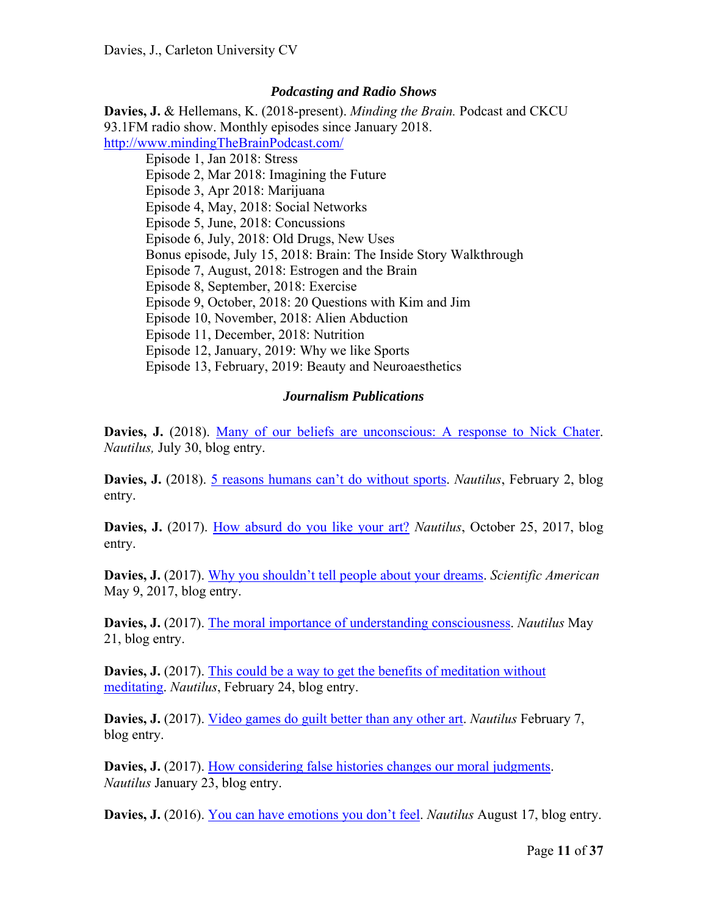#### *Podcasting and Radio Shows*

**Davies, J.** & Hellemans, K. (2018-present). *Minding the Brain.* Podcast and CKCU 93.1FM radio show. Monthly episodes since January 2018. http://www.mindingTheBrainPodcast.com/

 Episode 1, Jan 2018: Stress Episode 2, Mar 2018: Imagining the Future Episode 3, Apr 2018: Marijuana Episode 4, May, 2018: Social Networks Episode 5, June, 2018: Concussions Episode 6, July, 2018: Old Drugs, New Uses Bonus episode, July 15, 2018: Brain: The Inside Story Walkthrough Episode 7, August, 2018: Estrogen and the Brain Episode 8, September, 2018: Exercise Episode 9, October, 2018: 20 Questions with Kim and Jim Episode 10, November, 2018: Alien Abduction Episode 11, December, 2018: Nutrition Episode 12, January, 2019: Why we like Sports Episode 13, February, 2019: Beauty and Neuroaesthetics

#### *Journalism Publications*

**Davies, J.** (2018). Many of our beliefs are unconscious: A response to Nick Chater. *Nautilus,* July 30, blog entry.

**Davies, J.** (2018). 5 reasons humans can't do without sports. *Nautilus*, February 2, blog entry.

**Davies, J.** (2017). How absurd do you like your art? *Nautilus*, October 25, 2017, blog entry.

**Davies, J.** (2017). Why you shouldn't tell people about your dreams. *Scientific American*  May 9, 2017, blog entry.

**Davies, J.** (2017). The moral importance of understanding consciousness. *Nautilus* May 21, blog entry.

**Davies, J.** (2017). This could be a way to get the benefits of meditation without meditating. *Nautilus*, February 24, blog entry.

**Davies, J.** (2017). Video games do guilt better than any other art. *Nautilus* February 7, blog entry.

**Davies, J.** (2017). How considering false histories changes our moral judgments. *Nautilus* January 23, blog entry.

**Davies, J.** (2016). You can have emotions you don't feel. *Nautilus* August 17, blog entry.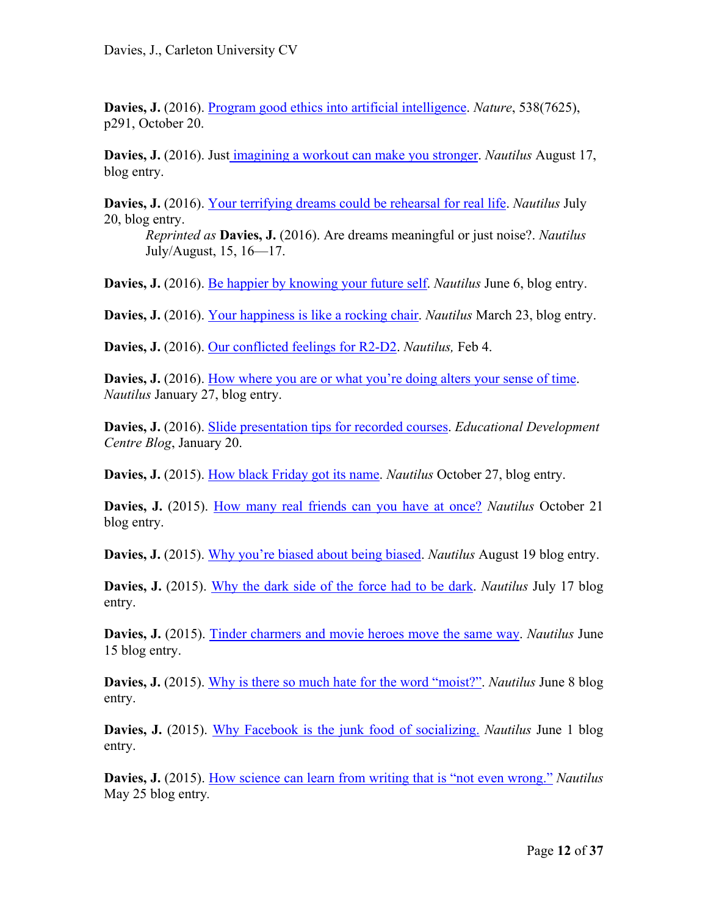**Davies, J.** (2016). Program good ethics into artificial intelligence. *Nature*, 538(7625), p291, October 20.

**Davies, J.** (2016). Just imagining a workout can make you stronger. *Nautilus* August 17, blog entry.

**Davies, J.** (2016). Your terrifying dreams could be rehearsal for real life. *Nautilus* July 20, blog entry.

*Reprinted as* **Davies, J.** (2016). Are dreams meaningful or just noise?. *Nautilus*  July/August, 15, 16—17.

**Davies, J.** (2016). Be happier by knowing your future self. *Nautilus* June 6, blog entry.

**Davies, J.** (2016). Your happiness is like a rocking chair. *Nautilus* March 23, blog entry.

**Davies, J.** (2016). Our conflicted feelings for R2-D2. *Nautilus,* Feb 4.

**Davies, J.** (2016). How where you are or what you're doing alters your sense of time. *Nautilus* January 27, blog entry.

**Davies, J.** (2016). Slide presentation tips for recorded courses. *Educational Development Centre Blog*, January 20.

**Davies, J.** (2015). How black Friday got its name. *Nautilus* October 27, blog entry.

**Davies, J.** (2015). How many real friends can you have at once? *Nautilus* October 21 blog entry.

**Davies, J.** (2015). Why you're biased about being biased. *Nautilus* August 19 blog entry.

**Davies, J.** (2015). Why the dark side of the force had to be dark. *Nautilus* July 17 blog entry.

**Davies, J.** (2015). Tinder charmers and movie heroes move the same way. *Nautilus* June 15 blog entry.

**Davies, J.** (2015). Why is there so much hate for the word "moist?". *Nautilus* June 8 blog entry.

**Davies, J.** (2015). Why Facebook is the junk food of socializing. *Nautilus* June 1 blog entry.

**Davies, J.** (2015). How science can learn from writing that is "not even wrong." *Nautilus*  May 25 blog entry*.*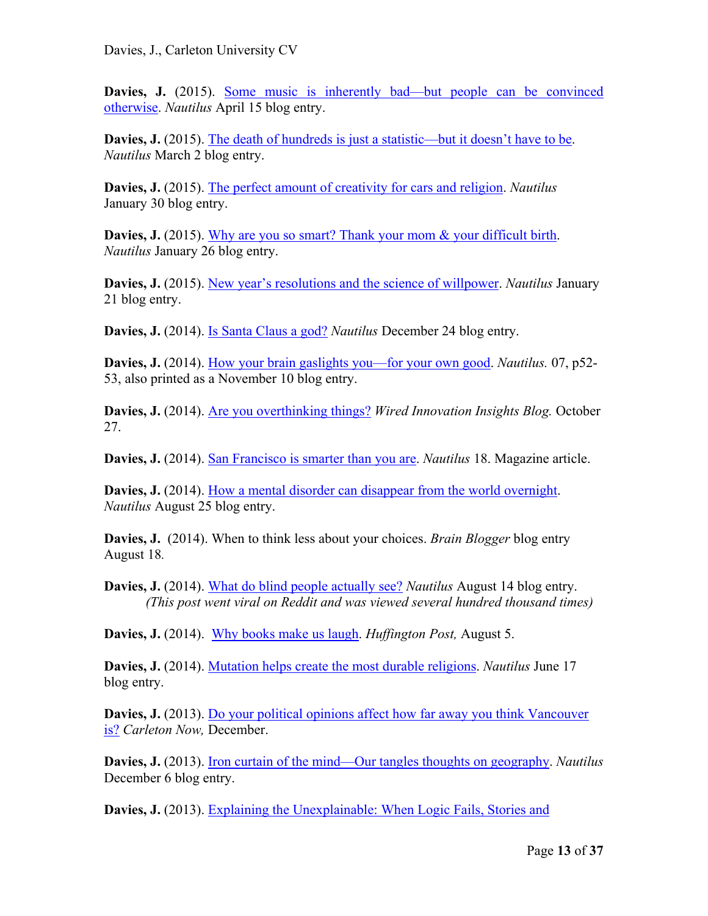Davies, J. (2015). Some music is inherently bad—but people can be convinced otherwise. *Nautilus* April 15 blog entry.

**Davies, J.** (2015). The death of hundreds is just a statistic—but it doesn't have to be. *Nautilus* March 2 blog entry.

**Davies, J.** (2015). The perfect amount of creativity for cars and religion. *Nautilus* January 30 blog entry.

**Davies, J.** (2015). Why are you so smart? Thank your mom & your difficult birth. *Nautilus* January 26 blog entry.

**Davies, J.** (2015). New year's resolutions and the science of willpower. *Nautilus* January 21 blog entry.

**Davies, J.** (2014). Is Santa Claus a god? *Nautilus* December 24 blog entry.

**Davies, J.** (2014). How your brain gaslights you—for your own good. *Nautilus.* 07, p52- 53, also printed as a November 10 blog entry.

**Davies, J.** (2014). Are you overthinking things? *Wired Innovation Insights Blog.* October 27.

**Davies, J.** (2014). San Francisco is smarter than you are. *Nautilus* 18. Magazine article.

**Davies, J.** (2014). How a mental disorder can disappear from the world overnight. *Nautilus* August 25 blog entry.

**Davies, J.** (2014). When to think less about your choices. *Brain Blogger* blog entry August 18*.* 

**Davies, J.** (2014). What do blind people actually see? *Nautilus* August 14 blog entry. *(This post went viral on Reddit and was viewed several hundred thousand times)* 

**Davies, J.** (2014). Why books make us laugh. *Huffington Post,* August 5.

**Davies, J.** (2014). Mutation helps create the most durable religions. *Nautilus* June 17 blog entry.

**Davies, J.** (2013). Do your political opinions affect how far away you think Vancouver is? *Carleton Now,* December.

**Davies, J.** (2013). Iron curtain of the mind—Our tangles thoughts on geography. *Nautilus* December 6 blog entry.

**Davies, J.** (2013). Explaining the Unexplainable: When Logic Fails, Stories and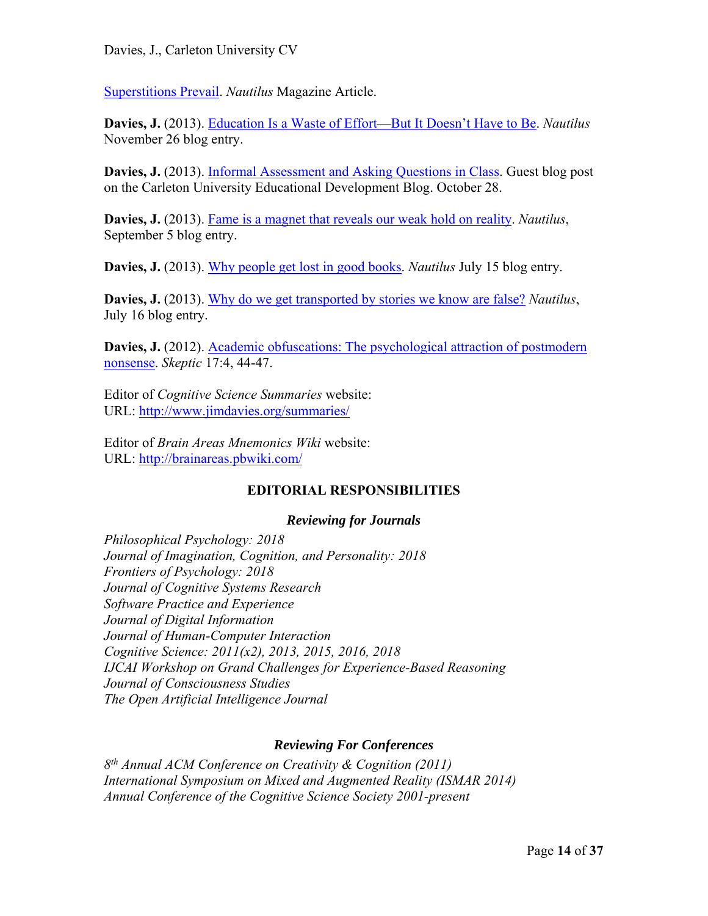Superstitions Prevail. *Nautilus* Magazine Article.

**Davies, J.** (2013). Education Is a Waste of Effort—But It Doesn't Have to Be. *Nautilus* November 26 blog entry.

Davies, J. (2013). Informal Assessment and Asking Questions in Class. Guest blog post on the Carleton University Educational Development Blog. October 28.

**Davies, J.** (2013). Fame is a magnet that reveals our weak hold on reality. *Nautilus*, September 5 blog entry.

**Davies, J.** (2013). Why people get lost in good books. *Nautilus* July 15 blog entry.

**Davies, J.** (2013). Why do we get transported by stories we know are false? *Nautilus*, July 16 blog entry.

**Davies, J.** (2012). Academic obfuscations: The psychological attraction of postmodern nonsense. *Skeptic* 17:4, 44-47.

Editor of *Cognitive Science Summaries* website: URL: http://www.jimdavies.org/summaries/

Editor of *Brain Areas Mnemonics Wiki* website: URL: http://brainareas.pbwiki.com/

# **EDITORIAL RESPONSIBILITIES**

# *Reviewing for Journals*

*Philosophical Psychology: 2018 Journal of Imagination, Cognition, and Personality: 2018 Frontiers of Psychology: 2018 Journal of Cognitive Systems Research Software Practice and Experience Journal of Digital Information Journal of Human-Computer Interaction Cognitive Science: 2011(x2), 2013, 2015, 2016, 2018 IJCAI Workshop on Grand Challenges for Experience-Based Reasoning Journal of Consciousness Studies The Open Artificial Intelligence Journal* 

# *Reviewing For Conferences*

*8th Annual ACM Conference on Creativity & Cognition (2011) International Symposium on Mixed and Augmented Reality (ISMAR 2014) Annual Conference of the Cognitive Science Society 2001-present*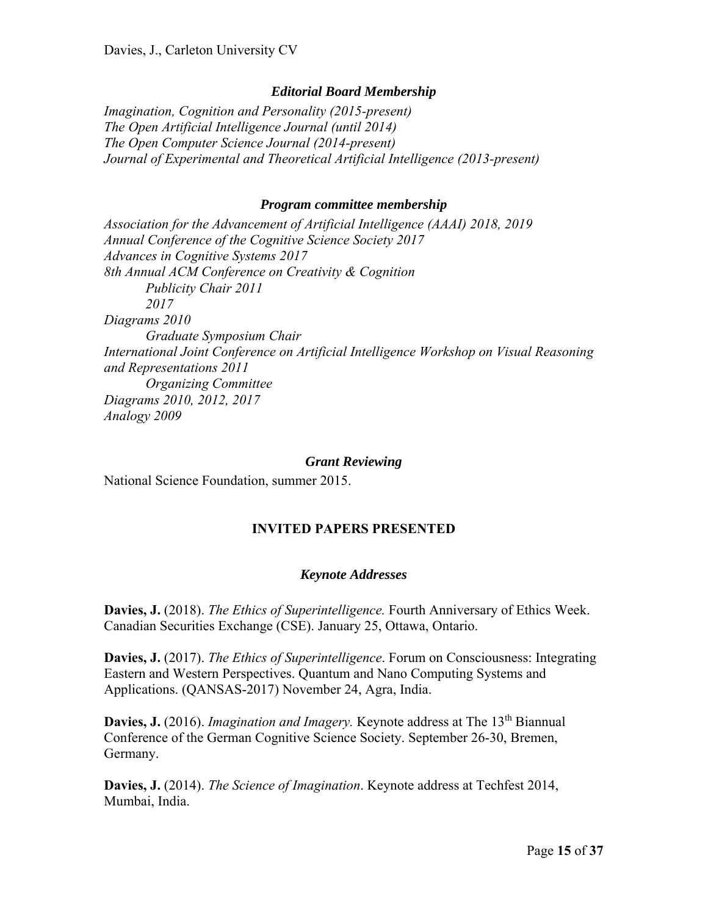#### *Editorial Board Membership*

*Imagination, Cognition and Personality (2015-present) The Open Artificial Intelligence Journal (until 2014) The Open Computer Science Journal (2014-present) Journal of Experimental and Theoretical Artificial Intelligence (2013-present)* 

#### *Program committee membership*

*Association for the Advancement of Artificial Intelligence (AAAI) 2018, 2019 Annual Conference of the Cognitive Science Society 2017 Advances in Cognitive Systems 2017 8th Annual ACM Conference on Creativity & Cognition Publicity Chair 2011 2017 Diagrams 2010 Graduate Symposium Chair International Joint Conference on Artificial Intelligence Workshop on Visual Reasoning and Representations 2011 Organizing Committee Diagrams 2010, 2012, 2017 Analogy 2009* 

#### *Grant Reviewing*

National Science Foundation, summer 2015.

#### **INVITED PAPERS PRESENTED**

#### *Keynote Addresses*

**Davies, J.** (2018). *The Ethics of Superintelligence.* Fourth Anniversary of Ethics Week. Canadian Securities Exchange (CSE). January 25, Ottawa, Ontario.

**Davies, J.** (2017). *The Ethics of Superintelligence*. Forum on Consciousness: Integrating Eastern and Western Perspectives. Quantum and Nano Computing Systems and Applications. (QANSAS-2017) November 24, Agra, India.

**Davies, J.** (2016). *Imagination and Imagery.* Keynote address at The 13<sup>th</sup> Biannual Conference of the German Cognitive Science Society. September 26-30, Bremen, Germany.

**Davies, J.** (2014). *The Science of Imagination*. Keynote address at Techfest 2014, Mumbai, India.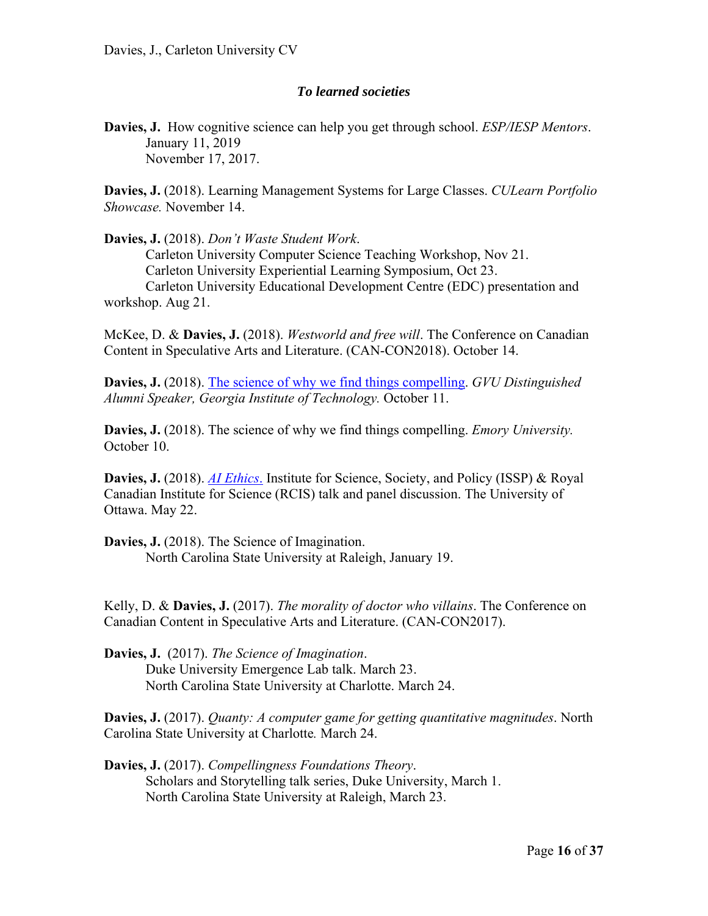#### *To learned societies*

**Davies, J.** How cognitive science can help you get through school. *ESP/IESP Mentors*. January 11, 2019 November 17, 2017.

**Davies, J.** (2018). Learning Management Systems for Large Classes. *CULearn Portfolio Showcase.* November 14.

#### **Davies, J.** (2018). *Don't Waste Student Work*.

Carleton University Computer Science Teaching Workshop, Nov 21. Carleton University Experiential Learning Symposium, Oct 23. Carleton University Educational Development Centre (EDC) presentation and workshop. Aug 21.

McKee, D. & **Davies, J.** (2018). *Westworld and free will*. The Conference on Canadian Content in Speculative Arts and Literature. (CAN-CON2018). October 14.

**Davies, J.** (2018). The science of why we find things compelling. *GVU Distinguished Alumni Speaker, Georgia Institute of Technology.* October 11.

**Davies, J.** (2018). The science of why we find things compelling. *Emory University.* October 10.

**Davies, J.** (2018). *AI Ethics*. Institute for Science, Society, and Policy (ISSP) & Royal Canadian Institute for Science (RCIS) talk and panel discussion. The University of Ottawa. May 22.

**Davies, J.** (2018). The Science of Imagination. North Carolina State University at Raleigh, January 19.

Kelly, D. & **Davies, J.** (2017). *The morality of doctor who villains*. The Conference on Canadian Content in Speculative Arts and Literature. (CAN-CON2017).

**Davies, J.** (2017). *The Science of Imagination*. Duke University Emergence Lab talk. March 23. North Carolina State University at Charlotte. March 24.

**Davies, J.** (2017). *Quanty: A computer game for getting quantitative magnitudes*. North Carolina State University at Charlotte*.* March 24.

**Davies, J.** (2017). *Compellingness Foundations Theory*. Scholars and Storytelling talk series, Duke University, March 1. North Carolina State University at Raleigh, March 23.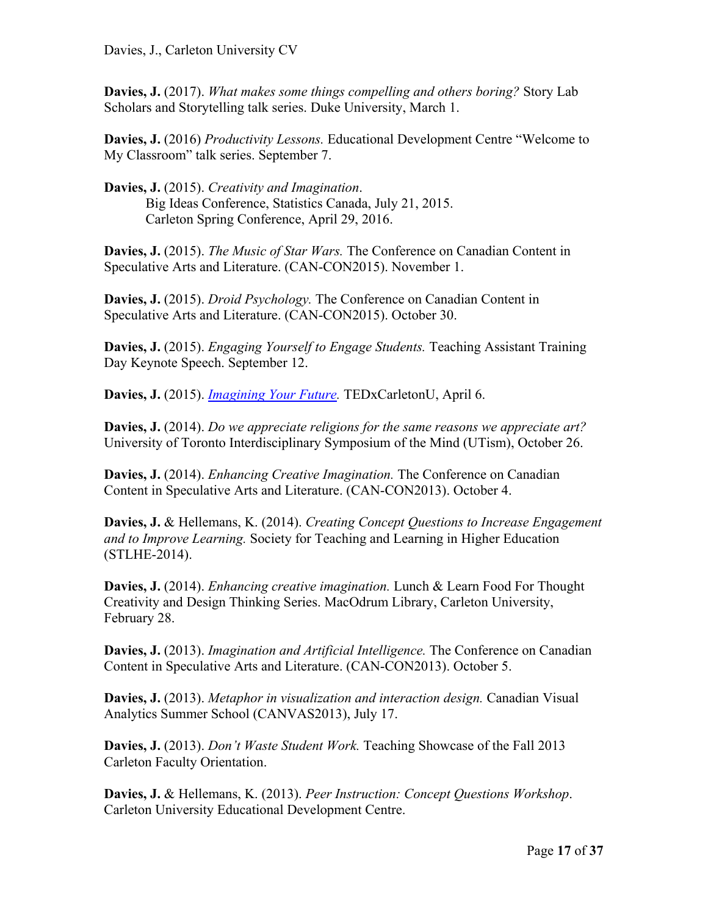**Davies, J.** (2017). *What makes some things compelling and others boring?* Story Lab Scholars and Storytelling talk series. Duke University, March 1.

**Davies, J.** (2016) *Productivity Lessons.* Educational Development Centre "Welcome to My Classroom" talk series. September 7.

**Davies, J.** (2015). *Creativity and Imagination*. Big Ideas Conference, Statistics Canada, July 21, 2015. Carleton Spring Conference, April 29, 2016.

**Davies, J.** (2015). *The Music of Star Wars.* The Conference on Canadian Content in Speculative Arts and Literature. (CAN-CON2015). November 1.

**Davies, J.** (2015). *Droid Psychology.* The Conference on Canadian Content in Speculative Arts and Literature. (CAN-CON2015). October 30.

**Davies, J.** (2015). *Engaging Yourself to Engage Students.* Teaching Assistant Training Day Keynote Speech. September 12.

**Davies, J.** (2015). *Imagining Your Future.* TEDxCarletonU, April 6.

**Davies, J.** (2014). *Do we appreciate religions for the same reasons we appreciate art?* University of Toronto Interdisciplinary Symposium of the Mind (UTism), October 26.

**Davies, J.** (2014). *Enhancing Creative Imagination.* The Conference on Canadian Content in Speculative Arts and Literature. (CAN-CON2013). October 4.

**Davies, J.** & Hellemans, K. (2014). *Creating Concept Questions to Increase Engagement and to Improve Learning.* Society for Teaching and Learning in Higher Education (STLHE-2014).

**Davies, J.** (2014). *Enhancing creative imagination.* Lunch & Learn Food For Thought Creativity and Design Thinking Series. MacOdrum Library, Carleton University, February 28.

**Davies, J.** (2013). *Imagination and Artificial Intelligence.* The Conference on Canadian Content in Speculative Arts and Literature. (CAN-CON2013). October 5.

**Davies, J.** (2013). *Metaphor in visualization and interaction design.* Canadian Visual Analytics Summer School (CANVAS2013), July 17.

**Davies, J.** (2013). *Don't Waste Student Work.* Teaching Showcase of the Fall 2013 Carleton Faculty Orientation.

**Davies, J.** & Hellemans, K. (2013). *Peer Instruction: Concept Questions Workshop*. Carleton University Educational Development Centre.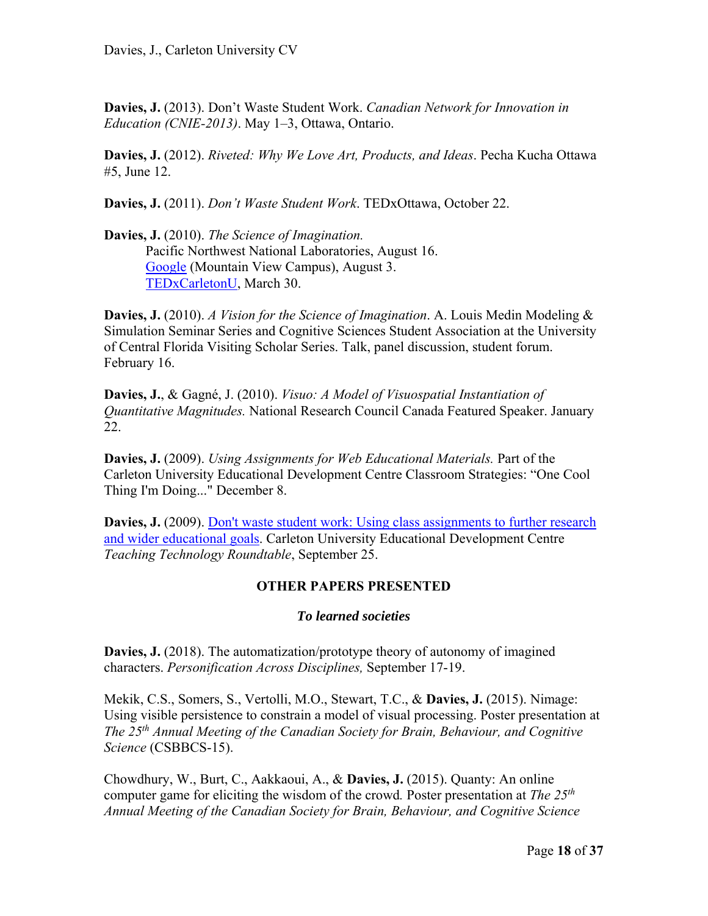**Davies, J.** (2013). Don't Waste Student Work. *Canadian Network for Innovation in Education (CNIE-2013)*. May 1–3, Ottawa, Ontario.

**Davies, J.** (2012). *Riveted: Why We Love Art, Products, and Ideas*. Pecha Kucha Ottawa #5, June 12.

**Davies, J.** (2011). *Don't Waste Student Work*. TEDxOttawa, October 22.

**Davies, J.** (2010). *The Science of Imagination.*  Pacific Northwest National Laboratories, August 16. Google (Mountain View Campus), August 3. TEDxCarletonU, March 30.

**Davies, J.** (2010). *A Vision for the Science of Imagination*. A. Louis Medin Modeling & Simulation Seminar Series and Cognitive Sciences Student Association at the University of Central Florida Visiting Scholar Series. Talk, panel discussion, student forum. February 16.

**Davies, J.**, & Gagné, J. (2010). *Visuo: A Model of Visuospatial Instantiation of Quantitative Magnitudes.* National Research Council Canada Featured Speaker. January 22.

**Davies, J.** (2009). *Using Assignments for Web Educational Materials.* Part of the Carleton University Educational Development Centre Classroom Strategies: "One Cool Thing I'm Doing..." December 8.

**Davies, J.** (2009). Don't waste student work: Using class assignments to further research and wider educational goals. Carleton University Educational Development Centre *Teaching Technology Roundtable*, September 25.

# **OTHER PAPERS PRESENTED**

# *To learned societies*

**Davies, J.** (2018). The automatization/prototype theory of autonomy of imagined characters. *Personification Across Disciplines,* September 17-19.

Mekik, C.S., Somers, S., Vertolli, M.O., Stewart, T.C., & **Davies, J.** (2015). Nimage: Using visible persistence to constrain a model of visual processing. Poster presentation at *The 25th Annual Meeting of the Canadian Society for Brain, Behaviour, and Cognitive Science* (CSBBCS-15).

Chowdhury, W., Burt, C., Aakkaoui, A., & **Davies, J.** (2015). Quanty: An online computer game for eliciting the wisdom of the crowd*.* Poster presentation at *The 25th Annual Meeting of the Canadian Society for Brain, Behaviour, and Cognitive Science*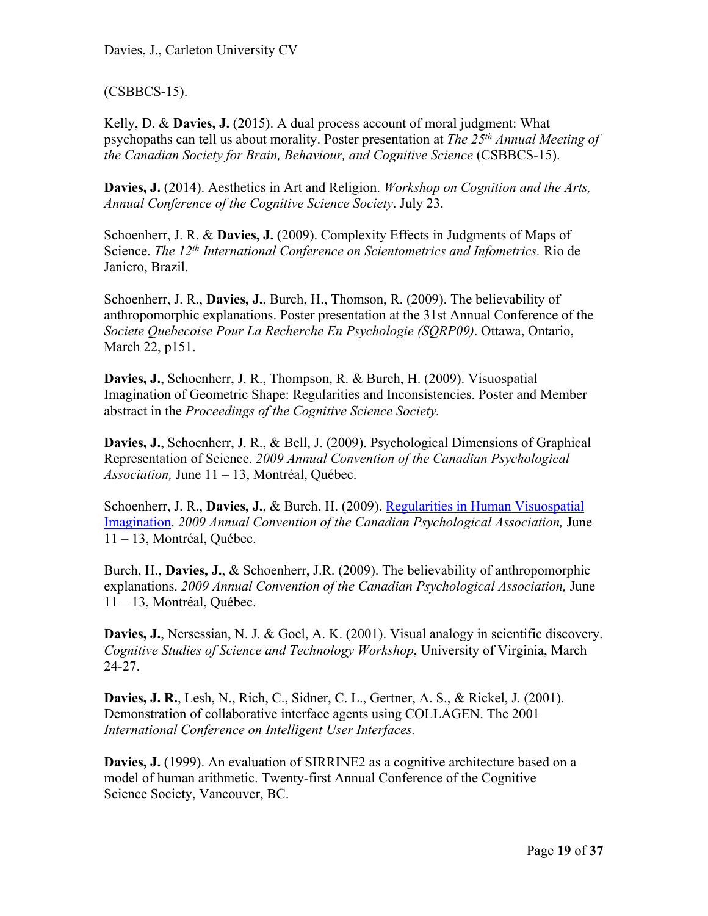Davies, J., Carleton University CV

# (CSBBCS-15).

Kelly, D. & **Davies, J.** (2015). A dual process account of moral judgment: What psychopaths can tell us about morality. Poster presentation at *The 25th Annual Meeting of the Canadian Society for Brain, Behaviour, and Cognitive Science* (CSBBCS-15).

**Davies, J.** (2014). Aesthetics in Art and Religion. *Workshop on Cognition and the Arts, Annual Conference of the Cognitive Science Society*. July 23.

Schoenherr, J. R. & **Davies, J.** (2009). Complexity Effects in Judgments of Maps of Science. *The 12th International Conference on Scientometrics and Infometrics.* Rio de Janiero, Brazil.

Schoenherr, J. R., **Davies, J.**, Burch, H., Thomson, R. (2009). The believability of anthropomorphic explanations. Poster presentation at the 31st Annual Conference of the *Societe Quebecoise Pour La Recherche En Psychologie (SQRP09)*. Ottawa, Ontario, March 22, p151.

**Davies, J.**, Schoenherr, J. R., Thompson, R. & Burch, H. (2009). Visuospatial Imagination of Geometric Shape: Regularities and Inconsistencies. Poster and Member abstract in the *Proceedings of the Cognitive Science Society.* 

**Davies, J.**, Schoenherr, J. R., & Bell, J. (2009). Psychological Dimensions of Graphical Representation of Science. *2009 Annual Convention of the Canadian Psychological Association,* June 11 – 13, Montréal, Québec.

Schoenherr, J. R., **Davies, J.**, & Burch, H. (2009). Regularities in Human Visuospatial Imagination. *2009 Annual Convention of the Canadian Psychological Association,* June 11 – 13, Montréal, Québec.

Burch, H., **Davies, J.**, & Schoenherr, J.R. (2009). The believability of anthropomorphic explanations. *2009 Annual Convention of the Canadian Psychological Association,* June 11 – 13, Montréal, Québec.

Davies, J., Nersessian, N. J. & Goel, A. K. (2001). Visual analogy in scientific discovery. *Cognitive Studies of Science and Technology Workshop*, University of Virginia, March 24-27.

**Davies, J. R.**, Lesh, N., Rich, C., Sidner, C. L., Gertner, A. S., & Rickel, J. (2001). Demonstration of collaborative interface agents using COLLAGEN. The 2001 *International Conference on Intelligent User Interfaces.* 

**Davies, J.** (1999). An evaluation of SIRRINE2 as a cognitive architecture based on a model of human arithmetic. Twenty-first Annual Conference of the Cognitive Science Society, Vancouver, BC.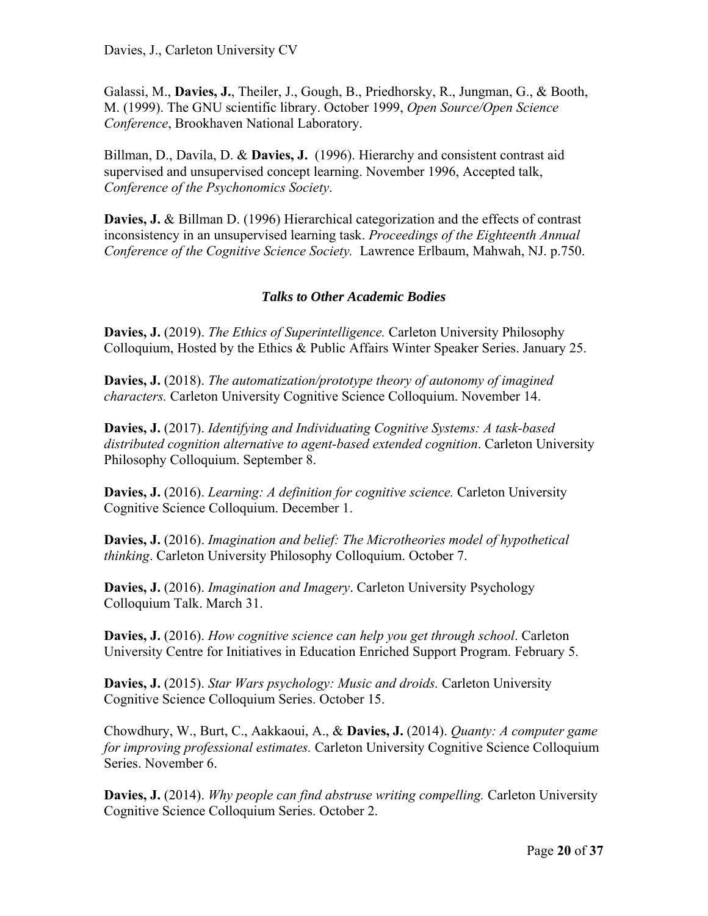Galassi, M., **Davies, J.**, Theiler, J., Gough, B., Priedhorsky, R., Jungman, G., & Booth, M. (1999). The GNU scientific library. October 1999, *Open Source/Open Science Conference*, Brookhaven National Laboratory.

Billman, D., Davila, D. & **Davies, J.** (1996). Hierarchy and consistent contrast aid supervised and unsupervised concept learning. November 1996, Accepted talk, *Conference of the Psychonomics Society*.

**Davies, J.** & Billman D. (1996) Hierarchical categorization and the effects of contrast inconsistency in an unsupervised learning task. *Proceedings of the Eighteenth Annual Conference of the Cognitive Science Society.* Lawrence Erlbaum, Mahwah, NJ. p.750.

# *Talks to Other Academic Bodies*

**Davies, J.** (2019). *The Ethics of Superintelligence.* Carleton University Philosophy Colloquium, Hosted by the Ethics & Public Affairs Winter Speaker Series. January 25.

**Davies, J.** (2018). *The automatization/prototype theory of autonomy of imagined characters.* Carleton University Cognitive Science Colloquium. November 14.

**Davies, J.** (2017). *Identifying and Individuating Cognitive Systems: A task-based distributed cognition alternative to agent-based extended cognition*. Carleton University Philosophy Colloquium. September 8.

**Davies, J.** (2016). *Learning: A definition for cognitive science.* Carleton University Cognitive Science Colloquium. December 1.

**Davies, J.** (2016). *Imagination and belief: The Microtheories model of hypothetical thinking*. Carleton University Philosophy Colloquium. October 7.

**Davies, J.** (2016). *Imagination and Imagery*. Carleton University Psychology Colloquium Talk. March 31.

**Davies, J.** (2016). *How cognitive science can help you get through school*. Carleton University Centre for Initiatives in Education Enriched Support Program. February 5.

**Davies, J.** (2015). *Star Wars psychology: Music and droids.* Carleton University Cognitive Science Colloquium Series. October 15.

Chowdhury, W., Burt, C., Aakkaoui, A., & **Davies, J.** (2014). *Quanty: A computer game for improving professional estimates.* Carleton University Cognitive Science Colloquium Series. November 6.

**Davies, J.** (2014). *Why people can find abstruse writing compelling.* Carleton University Cognitive Science Colloquium Series. October 2.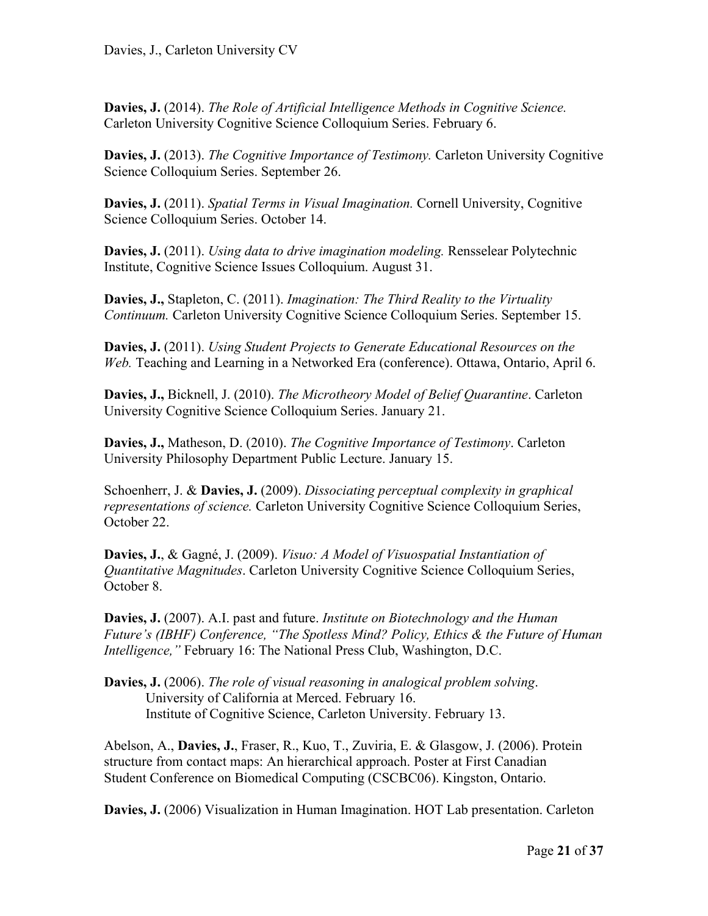**Davies, J.** (2014). *The Role of Artificial Intelligence Methods in Cognitive Science.*  Carleton University Cognitive Science Colloquium Series. February 6.

**Davies, J.** (2013). *The Cognitive Importance of Testimony.* Carleton University Cognitive Science Colloquium Series. September 26.

**Davies, J.** (2011). *Spatial Terms in Visual Imagination.* Cornell University, Cognitive Science Colloquium Series. October 14.

**Davies, J.** (2011). *Using data to drive imagination modeling.* Rensselear Polytechnic Institute, Cognitive Science Issues Colloquium. August 31.

**Davies, J.,** Stapleton, C. (2011). *Imagination: The Third Reality to the Virtuality Continuum.* Carleton University Cognitive Science Colloquium Series. September 15.

**Davies, J.** (2011). *Using Student Projects to Generate Educational Resources on the Web.* Teaching and Learning in a Networked Era (conference). Ottawa, Ontario, April 6.

**Davies, J.,** Bicknell, J. (2010). *The Microtheory Model of Belief Quarantine*. Carleton University Cognitive Science Colloquium Series. January 21.

**Davies, J.,** Matheson, D. (2010). *The Cognitive Importance of Testimony*. Carleton University Philosophy Department Public Lecture. January 15.

Schoenherr, J. & **Davies, J.** (2009). *Dissociating perceptual complexity in graphical representations of science.* Carleton University Cognitive Science Colloquium Series, October 22.

**Davies, J.**, & Gagné, J. (2009). *Visuo: A Model of Visuospatial Instantiation of Quantitative Magnitudes*. Carleton University Cognitive Science Colloquium Series, October 8.

**Davies, J.** (2007). A.I. past and future. *Institute on Biotechnology and the Human Future's (IBHF) Conference, "The Spotless Mind? Policy, Ethics & the Future of Human Intelligence,"* February 16: The National Press Club, Washington, D.C.

**Davies, J.** (2006). *The role of visual reasoning in analogical problem solving*. University of California at Merced. February 16. Institute of Cognitive Science, Carleton University. February 13.

Abelson, A., **Davies, J.**, Fraser, R., Kuo, T., Zuviria, E. & Glasgow, J. (2006). Protein structure from contact maps: An hierarchical approach. Poster at First Canadian Student Conference on Biomedical Computing (CSCBC06). Kingston, Ontario.

**Davies, J.** (2006) Visualization in Human Imagination. HOT Lab presentation. Carleton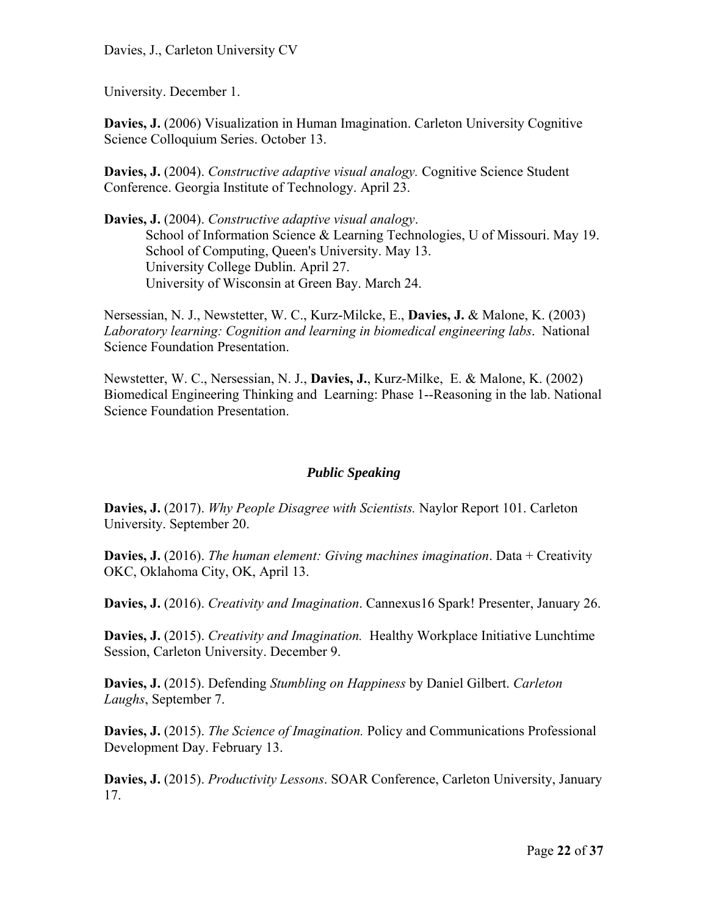Davies, J., Carleton University CV

University. December 1.

**Davies, J.** (2006) Visualization in Human Imagination. Carleton University Cognitive Science Colloquium Series. October 13.

**Davies, J.** (2004). *Constructive adaptive visual analogy.* Cognitive Science Student Conference. Georgia Institute of Technology. April 23.

**Davies, J.** (2004). *Constructive adaptive visual analogy*. School of Information Science & Learning Technologies, U of Missouri. May 19. School of Computing, Queen's University. May 13. University College Dublin. April 27. University of Wisconsin at Green Bay. March 24.

Nersessian, N. J., Newstetter, W. C., Kurz-Milcke, E., **Davies, J.** & Malone, K. (2003) *Laboratory learning: Cognition and learning in biomedical engineering labs*. National Science Foundation Presentation.

Newstetter, W. C., Nersessian, N. J., **Davies, J.**, Kurz-Milke, E. & Malone, K. (2002) Biomedical Engineering Thinking and Learning: Phase 1--Reasoning in the lab. National Science Foundation Presentation.

# *Public Speaking*

**Davies, J.** (2017). *Why People Disagree with Scientists.* Naylor Report 101. Carleton University. September 20.

**Davies, J.** (2016). *The human element: Giving machines imagination*. Data + Creativity OKC, Oklahoma City, OK, April 13.

**Davies, J.** (2016). *Creativity and Imagination*. Cannexus16 Spark! Presenter, January 26.

**Davies, J.** (2015). *Creativity and Imagination.* Healthy Workplace Initiative Lunchtime Session, Carleton University. December 9.

**Davies, J.** (2015). Defending *Stumbling on Happiness* by Daniel Gilbert. *Carleton Laughs*, September 7.

**Davies, J.** (2015). *The Science of Imagination.* Policy and Communications Professional Development Day. February 13.

**Davies, J.** (2015). *Productivity Lessons*. SOAR Conference, Carleton University, January 17.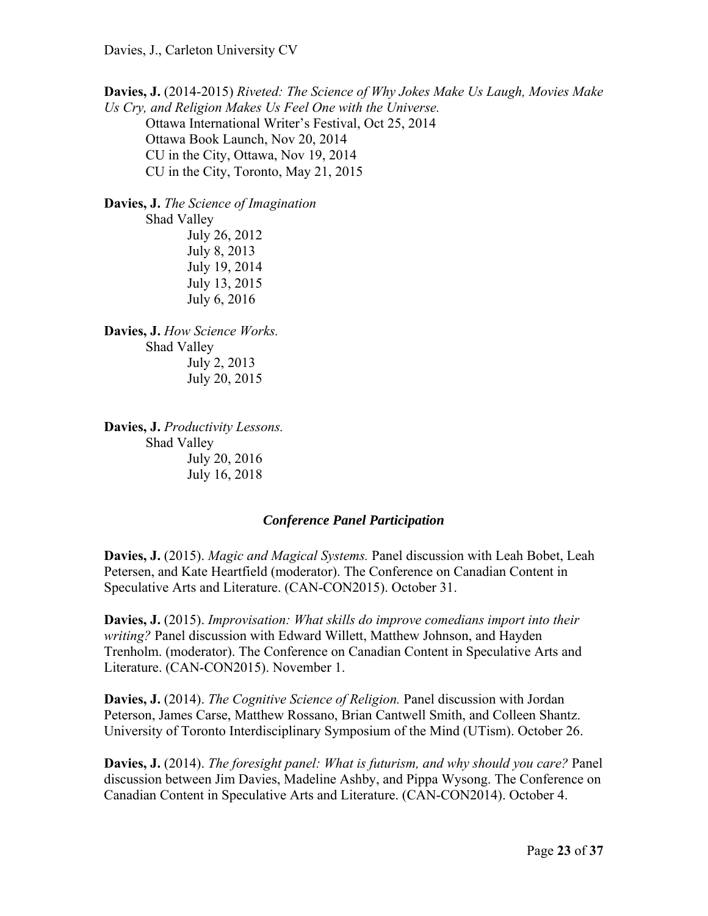**Davies, J.** (2014-2015) *Riveted: The Science of Why Jokes Make Us Laugh, Movies Make Us Cry, and Religion Makes Us Feel One with the Universe.*  Ottawa International Writer's Festival, Oct 25, 2014 Ottawa Book Launch, Nov 20, 2014 CU in the City, Ottawa, Nov 19, 2014 CU in the City, Toronto, May 21, 2015

**Davies, J.** *The Science of Imagination* Shad Valley July 26, 2012 July 8, 2013 July 19, 2014 July 13, 2015 July 6, 2016

**Davies, J.** *How Science Works.* Shad Valley July 2, 2013 July 20, 2015

**Davies, J.** *Productivity Lessons.* Shad Valley July 20, 2016 July 16, 2018

#### *Conference Panel Participation*

**Davies, J.** (2015). *Magic and Magical Systems.* Panel discussion with Leah Bobet, Leah Petersen, and Kate Heartfield (moderator). The Conference on Canadian Content in Speculative Arts and Literature. (CAN-CON2015). October 31.

**Davies, J.** (2015). *Improvisation: What skills do improve comedians import into their writing?* Panel discussion with Edward Willett, Matthew Johnson, and Hayden Trenholm. (moderator). The Conference on Canadian Content in Speculative Arts and Literature. (CAN-CON2015). November 1.

**Davies, J.** (2014). *The Cognitive Science of Religion.* Panel discussion with Jordan Peterson, James Carse, Matthew Rossano, Brian Cantwell Smith, and Colleen Shantz. University of Toronto Interdisciplinary Symposium of the Mind (UTism). October 26.

**Davies, J.** (2014). *The foresight panel: What is futurism, and why should you care?* Panel discussion between Jim Davies, Madeline Ashby, and Pippa Wysong. The Conference on Canadian Content in Speculative Arts and Literature. (CAN-CON2014). October 4.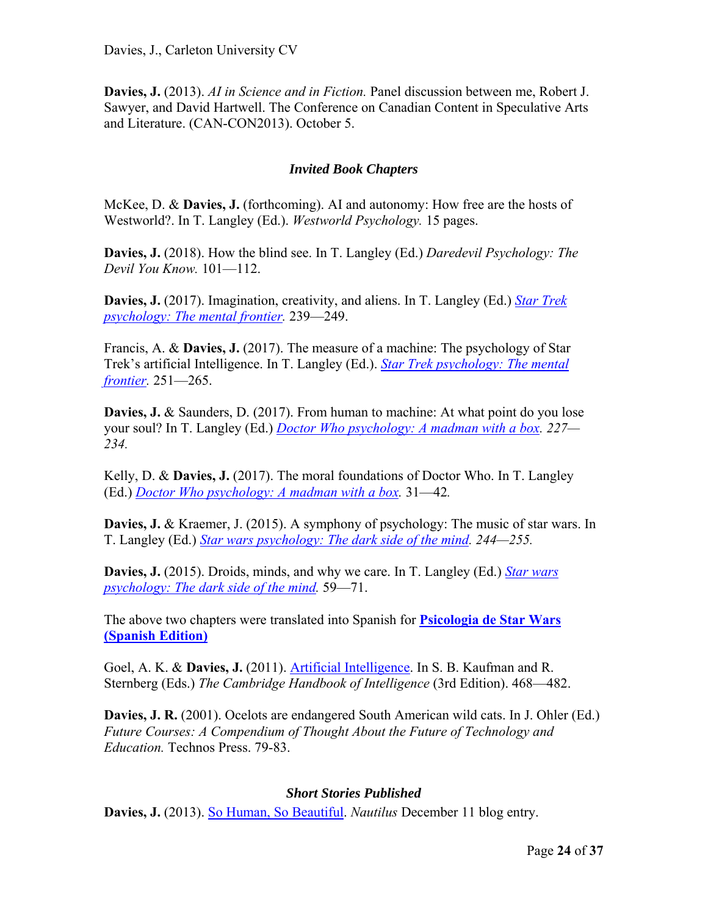**Davies, J.** (2013). *AI in Science and in Fiction.* Panel discussion between me, Robert J. Sawyer, and David Hartwell. The Conference on Canadian Content in Speculative Arts and Literature. (CAN-CON2013). October 5.

# *Invited Book Chapters*

McKee, D. & **Davies, J.** (forthcoming). AI and autonomy: How free are the hosts of Westworld?. In T. Langley (Ed.). *Westworld Psychology.* 15 pages.

**Davies, J.** (2018). How the blind see. In T. Langley (Ed.) *Daredevil Psychology: The Devil You Know.* 101—112.

**Davies, J.** (2017). Imagination, creativity, and aliens. In T. Langley (Ed.) *Star Trek psychology: The mental frontier.* 239—249.

Francis, A. & **Davies, J.** (2017). The measure of a machine: The psychology of Star Trek's artificial Intelligence. In T. Langley (Ed.). *Star Trek psychology: The mental frontier.* 251—265.

**Davies, J.** & Saunders, D. (2017). From human to machine: At what point do you lose your soul? In T. Langley (Ed.) *Doctor Who psychology: A madman with a box. 227— 234.*

Kelly, D. & **Davies, J.** (2017). The moral foundations of Doctor Who. In T. Langley (Ed.) *Doctor Who psychology: A madman with a box.* 31—42*.* 

**Davies, J.** & Kraemer, J. (2015). A symphony of psychology: The music of star wars. In T. Langley (Ed.) *Star wars psychology: The dark side of the mind. 244—255.*

**Davies, J.** (2015). Droids, minds, and why we care. In T. Langley (Ed.) *Star wars psychology: The dark side of the mind.* 59—71.

The above two chapters were translated into Spanish for **Psicologia de Star Wars (Spanish Edition)**

Goel, A. K. & **Davies, J.** (2011). Artificial Intelligence. In S. B. Kaufman and R. Sternberg (Eds.) *The Cambridge Handbook of Intelligence* (3rd Edition). 468—482.

**Davies, J. R.** (2001). Ocelots are endangered South American wild cats. In J. Ohler (Ed.) *Future Courses: A Compendium of Thought About the Future of Technology and Education.* Technos Press. 79-83.

#### *Short Stories Published*

**Davies, J.** (2013). So Human, So Beautiful. *Nautilus* December 11 blog entry.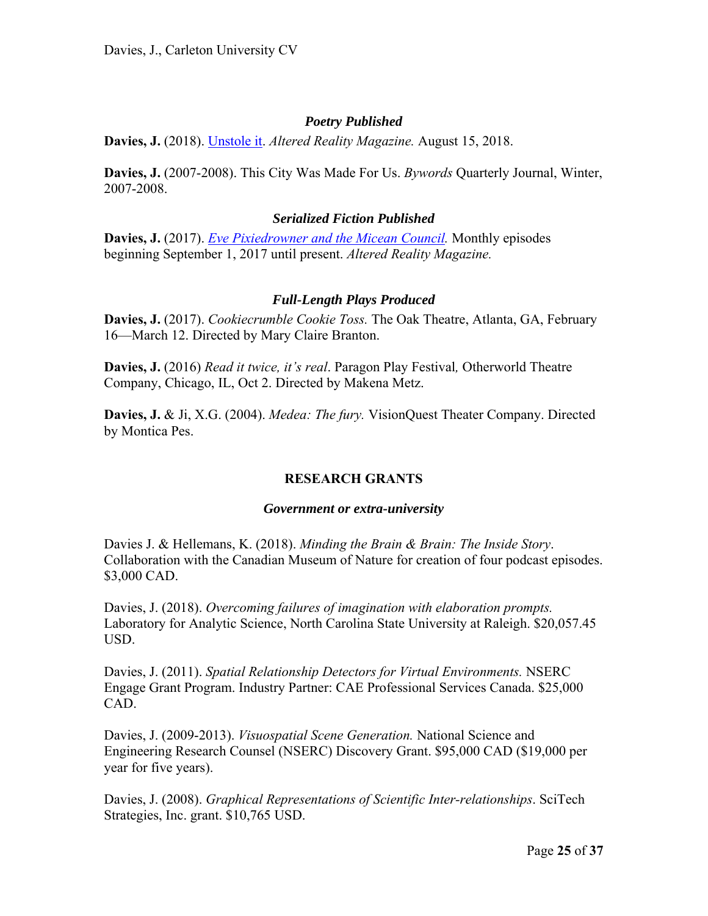#### *Poetry Published*

**Davies, J.** (2018). Unstole it. *Altered Reality Magazine.* August 15, 2018.

**Davies, J.** (2007-2008). This City Was Made For Us. *Bywords* Quarterly Journal, Winter, 2007-2008.

#### *Serialized Fiction Published*

**Davies, J.** (2017). *Eve Pixiedrowner and the Micean Council.* Monthly episodes beginning September 1, 2017 until present. *Altered Reality Magazine.*

# *Full-Length Plays Produced*

**Davies, J.** (2017). *Cookiecrumble Cookie Toss.* The Oak Theatre, Atlanta, GA, February 16—March 12. Directed by Mary Claire Branton.

**Davies, J.** (2016) *Read it twice, it's real*. Paragon Play Festival*,* Otherworld Theatre Company, Chicago, IL, Oct 2. Directed by Makena Metz.

**Davies, J.** & Ji, X.G. (2004). *Medea: The fury.* VisionQuest Theater Company. Directed by Montica Pes.

# **RESEARCH GRANTS**

#### *Government or extra-university*

Davies J. & Hellemans, K. (2018). *Minding the Brain & Brain: The Inside Story*. Collaboration with the Canadian Museum of Nature for creation of four podcast episodes. \$3,000 CAD.

Davies, J. (2018). *Overcoming failures of imagination with elaboration prompts.*  Laboratory for Analytic Science, North Carolina State University at Raleigh. \$20,057.45 USD.

Davies, J. (2011). *Spatial Relationship Detectors for Virtual Environments.* NSERC Engage Grant Program. Industry Partner: CAE Professional Services Canada. \$25,000 CAD.

Davies, J. (2009-2013). *Visuospatial Scene Generation.* National Science and Engineering Research Counsel (NSERC) Discovery Grant. \$95,000 CAD (\$19,000 per year for five years).

Davies, J. (2008). *Graphical Representations of Scientific Inter-relationships*. SciTech Strategies, Inc. grant. \$10,765 USD.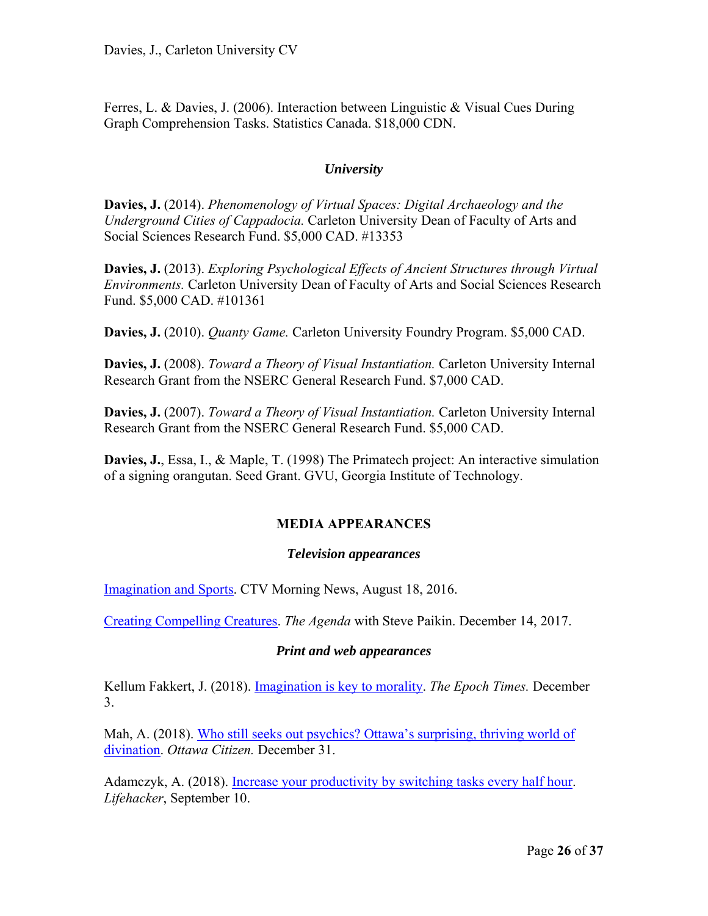Ferres, L. & Davies, J. (2006). Interaction between Linguistic & Visual Cues During Graph Comprehension Tasks. Statistics Canada. \$18,000 CDN.

# *University*

**Davies, J.** (2014). *Phenomenology of Virtual Spaces: Digital Archaeology and the Underground Cities of Cappadocia.* Carleton University Dean of Faculty of Arts and Social Sciences Research Fund. \$5,000 CAD. #13353

**Davies, J.** (2013). *Exploring Psychological Effects of Ancient Structures through Virtual Environments.* Carleton University Dean of Faculty of Arts and Social Sciences Research Fund. \$5,000 CAD. #101361

**Davies, J.** (2010). *Quanty Game.* Carleton University Foundry Program. \$5,000 CAD.

**Davies, J.** (2008). *Toward a Theory of Visual Instantiation.* Carleton University Internal Research Grant from the NSERC General Research Fund. \$7,000 CAD.

**Davies, J.** (2007). *Toward a Theory of Visual Instantiation.* Carleton University Internal Research Grant from the NSERC General Research Fund. \$5,000 CAD.

**Davies, J.**, Essa, I., & Maple, T. (1998) The Primatech project: An interactive simulation of a signing orangutan. Seed Grant. GVU, Georgia Institute of Technology.

# **MEDIA APPEARANCES**

# *Television appearances*

Imagination and Sports. CTV Morning News, August 18, 2016.

Creating Compelling Creatures. *The Agenda* with Steve Paikin. December 14, 2017.

# *Print and web appearances*

Kellum Fakkert, J. (2018). Imagination is key to morality. *The Epoch Times.* December 3.

Mah, A. (2018). Who still seeks out psychics? Ottawa's surprising, thriving world of divination. *Ottawa Citizen.* December 31.

Adamczyk, A. (2018). Increase your productivity by switching tasks every half hour. *Lifehacker*, September 10.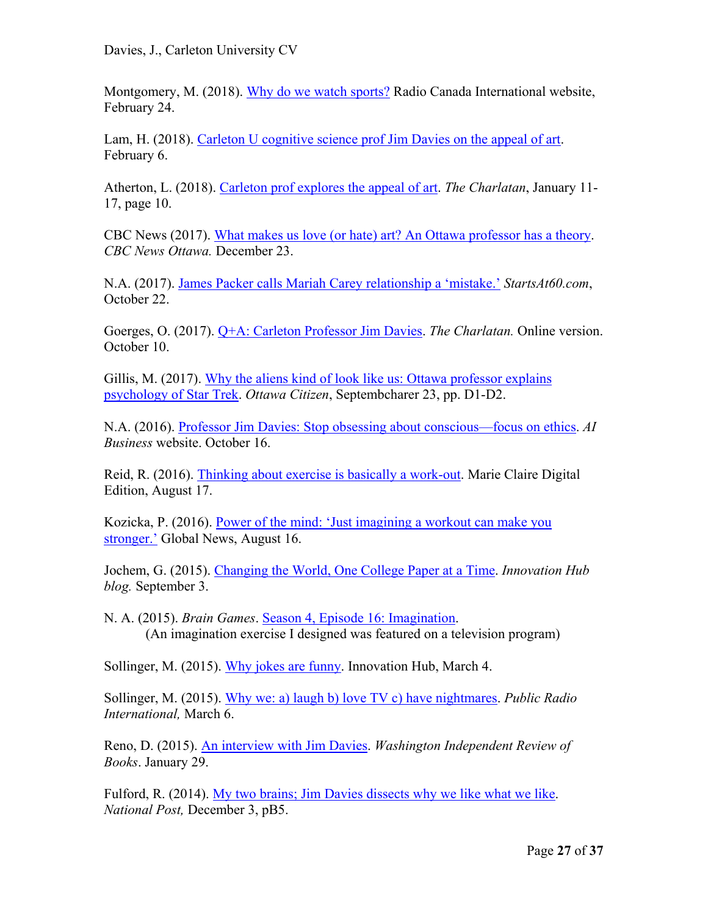Davies, J., Carleton University CV

Montgomery, M. (2018). Why do we watch sports? Radio Canada International website, February 24.

Lam, H. (2018). Carleton U cognitive science prof Jim Davies on the appeal of art. February 6.

Atherton, L. (2018). Carleton prof explores the appeal of art. *The Charlatan*, January 11- 17, page 10.

CBC News (2017). What makes us love (or hate) art? An Ottawa professor has a theory. *CBC News Ottawa.* December 23.

N.A. (2017). James Packer calls Mariah Carey relationship a 'mistake.' *StartsAt60.com*, October 22.

Goerges, O. (2017). Q+A: Carleton Professor Jim Davies. *The Charlatan.* Online version. October 10.

Gillis, M. (2017). Why the aliens kind of look like us: Ottawa professor explains psychology of Star Trek. *Ottawa Citizen*, Septembcharer 23, pp. D1-D2.

N.A. (2016). Professor Jim Davies: Stop obsessing about conscious—focus on ethics. *AI Business* website. October 16.

Reid, R. (2016). Thinking about exercise is basically a work-out. Marie Claire Digital Edition, August 17.

Kozicka, P. (2016). Power of the mind: 'Just imagining a workout can make you stronger.' Global News, August 16.

Jochem, G. (2015). Changing the World, One College Paper at a Time. *Innovation Hub blog.* September 3.

N. A. (2015). *Brain Games*. Season 4, Episode 16: Imagination. (An imagination exercise I designed was featured on a television program)

Sollinger, M. (2015). Why jokes are funny. Innovation Hub, March 4.

Sollinger, M. (2015). Why we: a) laugh b) love TV c) have nightmares. *Public Radio International,* March 6.

Reno, D. (2015). An interview with Jim Davies. *Washington Independent Review of Books*. January 29.

Fulford, R. (2014). My two brains; Jim Davies dissects why we like what we like. *National Post,* December 3, pB5.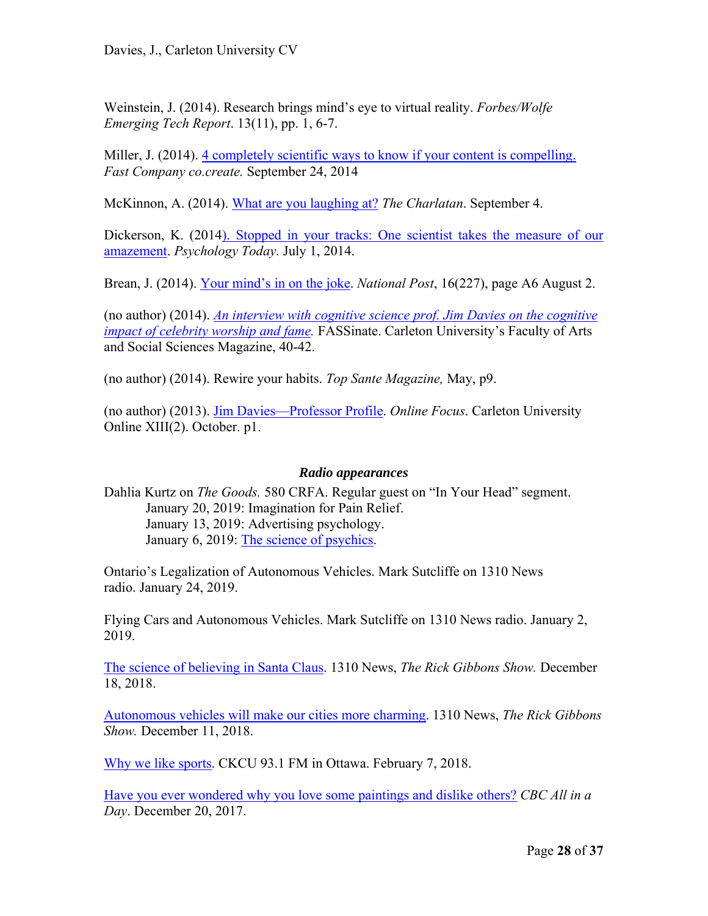Weinstein, J. (2014). Research brings mind's eye to virtual reality. *Forbes/Wolfe Emerging Tech Report*. 13(11), pp. 1, 6-7.

Miller, J. (2014). 4 completely scientific ways to know if your content is compelling. *Fast Company co.create.* September 24, 2014

McKinnon, A. (2014). What are you laughing at? *The Charlatan*. September 4.

Dickerson, K. (2014). Stopped in your tracks: One scientist takes the measure of our amazement. *Psychology Today.* July 1, 2014.

Brean, J. (2014). Your mind's in on the joke. *National Post*, 16(227), page A6 August 2.

(no author) (2014). *An interview with cognitive science prof. Jim Davies on the cognitive impact of celebrity worship and fame.* FASSinate. Carleton University's Faculty of Arts and Social Sciences Magazine, 40-42.

(no author) (2014). Rewire your habits. *Top Sante Magazine,* May, p9.

(no author) (2013). Jim Davies—Professor Profile. *Online Focus*. Carleton University Online XIII(2). October. p1.

# *Radio appearances*

Dahlia Kurtz on *The Goods.* 580 CRFA. Regular guest on "In Your Head" segment. January 20, 2019: Imagination for Pain Relief. January 13, 2019: Advertising psychology. January 6, 2019: The science of psychics.

Ontario's Legalization of Autonomous Vehicles. Mark Sutcliffe on 1310 News radio. January 24, 2019.

Flying Cars and Autonomous Vehicles. Mark Sutcliffe on 1310 News radio. January 2, 2019.

The science of believing in Santa Claus. 1310 News, *The Rick Gibbons Show.* December 18, 2018.

Autonomous vehicles will make our cities more charming. 1310 News, *The Rick Gibbons Show.* December 11, 2018.

Why we like sports. CKCU 93.1 FM in Ottawa. February 7, 2018.

Have you ever wondered why you love some paintings and dislike others? *CBC All in a Day*. December 20, 2017.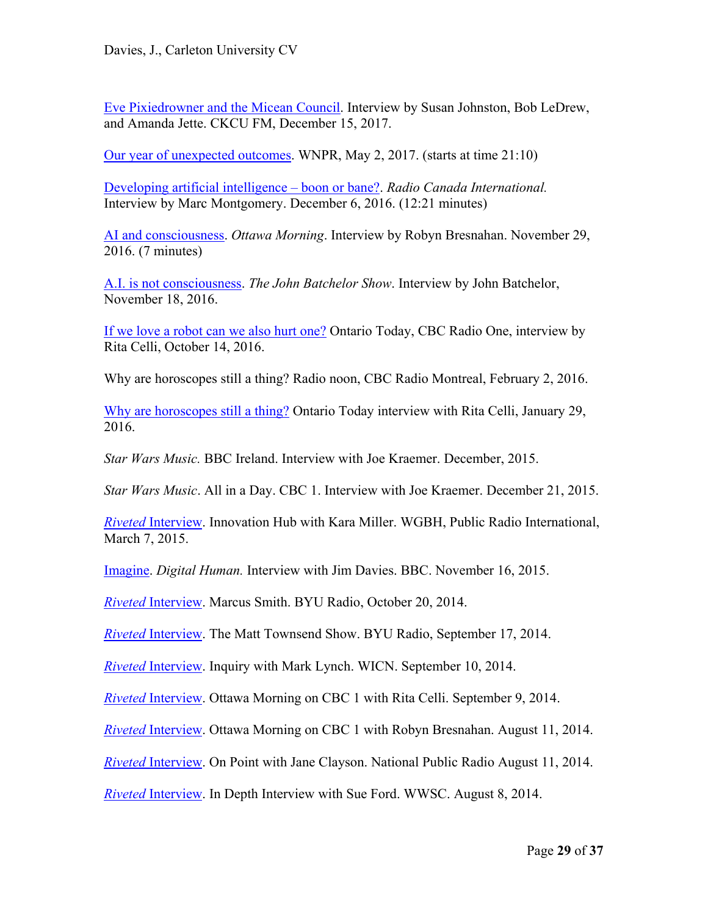Eve Pixiedrowner and the Micean Council. Interview by Susan Johnston, Bob LeDrew, and Amanda Jette. CKCU FM, December 15, 2017.

Our year of unexpected outcomes. WNPR, May 2, 2017. (starts at time 21:10)

Developing artificial intelligence – boon or bane?. *Radio Canada International.* Interview by Marc Montgomery. December 6, 2016. (12:21 minutes)

AI and consciousness. *Ottawa Morning*. Interview by Robyn Bresnahan. November 29, 2016. (7 minutes)

A.I. is not consciousness. *The John Batchelor Show*. Interview by John Batchelor, November 18, 2016.

If we love a robot can we also hurt one? Ontario Today, CBC Radio One, interview by Rita Celli, October 14, 2016.

Why are horoscopes still a thing? Radio noon, CBC Radio Montreal, February 2, 2016.

Why are horoscopes still a thing? Ontario Today interview with Rita Celli, January 29, 2016.

*Star Wars Music.* BBC Ireland. Interview with Joe Kraemer. December, 2015.

*Star Wars Music*. All in a Day. CBC 1. Interview with Joe Kraemer. December 21, 2015.

*Riveted* Interview. Innovation Hub with Kara Miller. WGBH, Public Radio International, March 7, 2015.

Imagine. *Digital Human.* Interview with Jim Davies. BBC. November 16, 2015.

*Riveted* Interview. Marcus Smith. BYU Radio, October 20, 2014.

*Riveted* Interview. The Matt Townsend Show. BYU Radio, September 17, 2014.

*Riveted* Interview. Inquiry with Mark Lynch. WICN. September 10, 2014.

*Riveted* Interview. Ottawa Morning on CBC 1 with Rita Celli. September 9, 2014.

*Riveted* Interview. Ottawa Morning on CBC 1 with Robyn Bresnahan. August 11, 2014.

*Riveted* Interview. On Point with Jane Clayson. National Public Radio August 11, 2014.

*Riveted* Interview. In Depth Interview with Sue Ford. WWSC. August 8, 2014.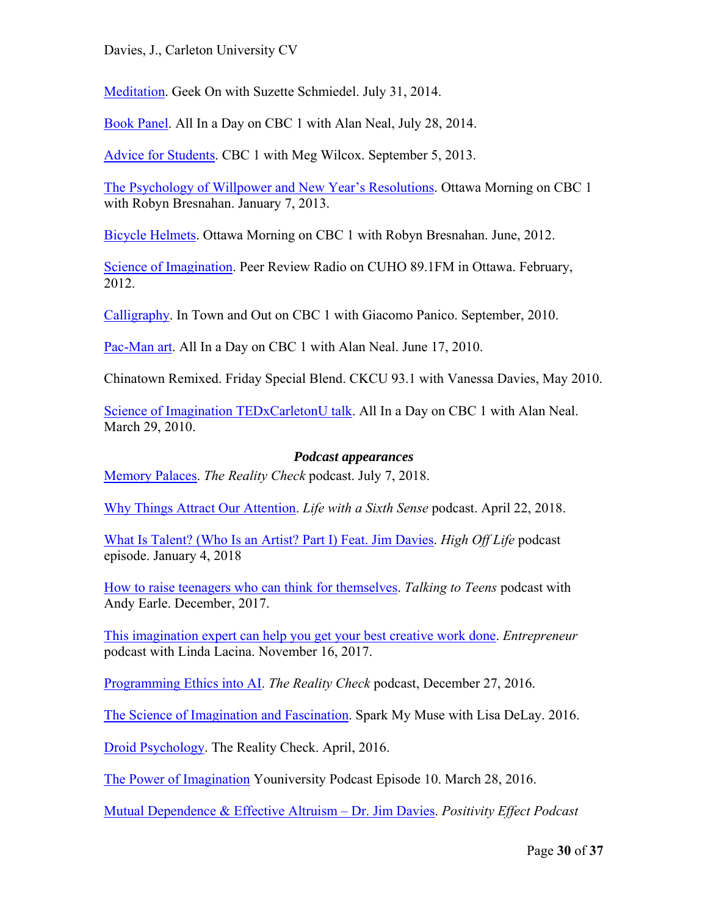Davies, J., Carleton University CV

Meditation. Geek On with Suzette Schmiedel. July 31, 2014.

Book Panel. All In a Day on CBC 1 with Alan Neal, July 28, 2014.

Advice for Students. CBC 1 with Meg Wilcox. September 5, 2013.

The Psychology of Willpower and New Year's Resolutions. Ottawa Morning on CBC 1 with Robyn Bresnahan. January 7, 2013.

Bicycle Helmets. Ottawa Morning on CBC 1 with Robyn Bresnahan. June, 2012.

Science of Imagination. Peer Review Radio on CUHO 89.1FM in Ottawa. February, 2012.

Calligraphy. In Town and Out on CBC 1 with Giacomo Panico. September, 2010.

Pac-Man art. All In a Day on CBC 1 with Alan Neal. June 17, 2010.

Chinatown Remixed. Friday Special Blend. CKCU 93.1 with Vanessa Davies, May 2010.

Science of Imagination TEDxCarletonU talk. All In a Day on CBC 1 with Alan Neal. March 29, 2010.

#### *Podcast appearances*

Memory Palaces. *The Reality Check* podcast. July 7, 2018.

Why Things Attract Our Attention. *Life with a Sixth Sense* podcast. April 22, 2018.

What Is Talent? (Who Is an Artist? Part I) Feat. Jim Davies. *High Off Life* podcast episode. January 4, 2018

How to raise teenagers who can think for themselves. *Talking to Teens* podcast with Andy Earle. December, 2017.

This imagination expert can help you get your best creative work done. *Entrepreneur* podcast with Linda Lacina. November 16, 2017.

Programming Ethics into AI. *The Reality Check* podcast, December 27, 2016.

The Science of Imagination and Fascination. Spark My Muse with Lisa DeLay. 2016.

Droid Psychology. The Reality Check. April, 2016.

The Power of Imagination Youniversity Podcast Episode 10. March 28, 2016.

Mutual Dependence & Effective Altruism – Dr. Jim Davies. *Positivity Effect Podcast*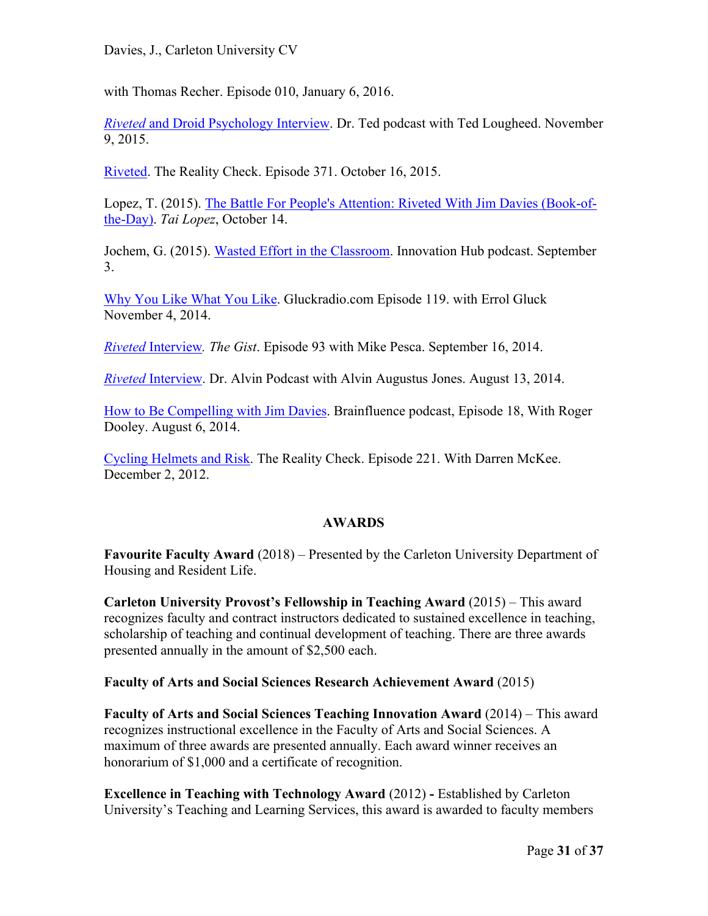with Thomas Recher. Episode 010, January 6, 2016.

*Riveted* and Droid Psychology Interview. Dr. Ted podcast with Ted Lougheed. November 9, 2015.

Riveted. The Reality Check. Episode 371. October 16, 2015.

Lopez, T. (2015). The Battle For People's Attention: Riveted With Jim Davies (Book-ofthe-Day). *Tai Lopez*, October 14.

Jochem, G. (2015). Wasted Effort in the Classroom. Innovation Hub podcast. September 3.

Why You Like What You Like. Gluckradio.com Episode 119. with Errol Gluck November 4, 2014.

*Riveted* Interview*. The Gist*. Episode 93 with Mike Pesca. September 16, 2014.

*Riveted* Interview. Dr. Alvin Podcast with Alvin Augustus Jones. August 13, 2014.

How to Be Compelling with Jim Davies. Brainfluence podcast, Episode 18, With Roger Dooley. August 6, 2014.

Cycling Helmets and Risk. The Reality Check. Episode 221. With Darren McKee. December 2, 2012.

# **AWARDS**

**Favourite Faculty Award** (2018) – Presented by the Carleton University Department of Housing and Resident Life.

**Carleton University Provost's Fellowship in Teaching Award** (2015) – This award recognizes faculty and contract instructors dedicated to sustained excellence in teaching, scholarship of teaching and continual development of teaching. There are three awards presented annually in the amount of \$2,500 each.

**Faculty of Arts and Social Sciences Research Achievement Award** (2015)

**Faculty of Arts and Social Sciences Teaching Innovation Award** (2014) – This award recognizes instructional excellence in the Faculty of Arts and Social Sciences. A maximum of three awards are presented annually. Each award winner receives an honorarium of \$1,000 and a certificate of recognition.

**Excellence in Teaching with Technology Award** (2012) **-** Established by Carleton University's Teaching and Learning Services, this award is awarded to faculty members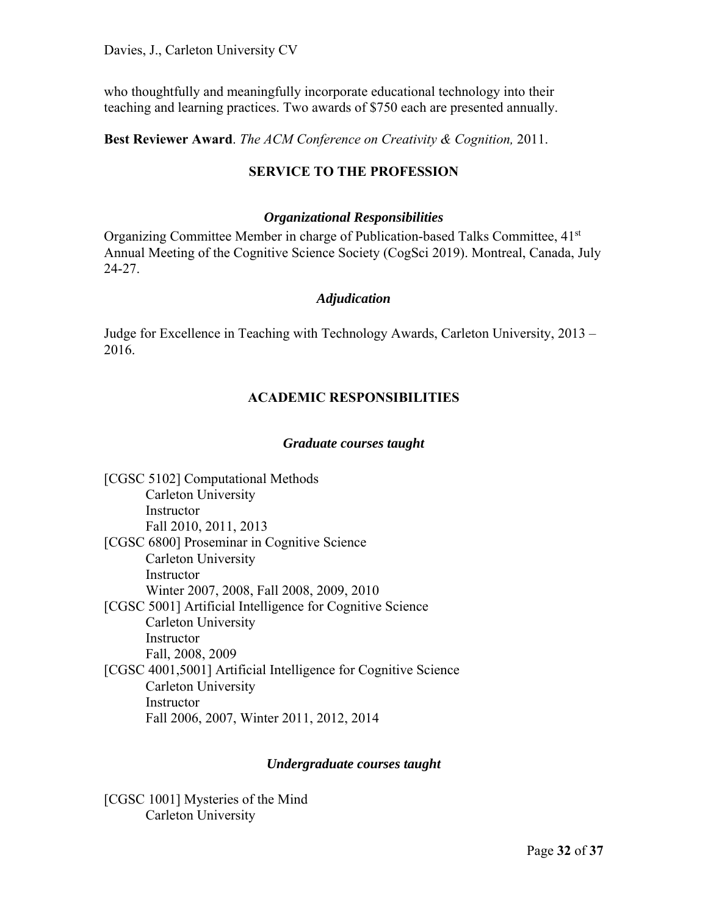who thoughtfully and meaningfully incorporate educational technology into their teaching and learning practices. Two awards of \$750 each are presented annually.

**Best Reviewer Award**. *The ACM Conference on Creativity & Cognition,* 2011.

# **SERVICE TO THE PROFESSION**

#### *Organizational Responsibilities*

Organizing Committee Member in charge of Publication-based Talks Committee, 41<sup>st</sup> Annual Meeting of the Cognitive Science Society (CogSci 2019). Montreal, Canada, July 24-27.

#### *Adjudication*

Judge for Excellence in Teaching with Technology Awards, Carleton University, 2013 – 2016.

# **ACADEMIC RESPONSIBILITIES**

#### *Graduate courses taught*

[CGSC 5102] Computational Methods Carleton University Instructor Fall 2010, 2011, 2013 [CGSC 6800] Proseminar in Cognitive Science Carleton University Instructor Winter 2007, 2008, Fall 2008, 2009, 2010 [CGSC 5001] Artificial Intelligence for Cognitive Science Carleton University **Instructor** Fall, 2008, 2009 [CGSC 4001,5001] Artificial Intelligence for Cognitive Science Carleton University Instructor Fall 2006, 2007, Winter 2011, 2012, 2014

#### *Undergraduate courses taught*

[CGSC 1001] Mysteries of the Mind Carleton University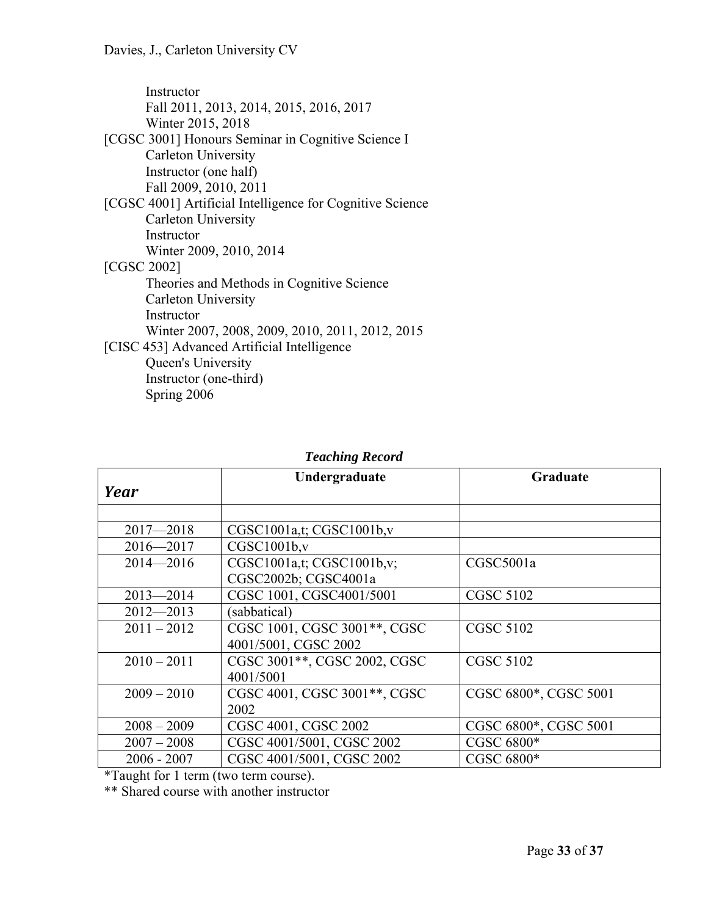| Instructor                                                |
|-----------------------------------------------------------|
| Fall 2011, 2013, 2014, 2015, 2016, 2017                   |
| Winter 2015, 2018                                         |
| [CGSC 3001] Honours Seminar in Cognitive Science I        |
| Carleton University                                       |
| Instructor (one half)                                     |
| Fall 2009, 2010, 2011                                     |
| [CGSC 4001] Artificial Intelligence for Cognitive Science |
| Carleton University                                       |
| Instructor                                                |
| Winter 2009, 2010, 2014                                   |
| [CGSC 2002]                                               |
| Theories and Methods in Cognitive Science                 |
| Carleton University                                       |
| Instructor                                                |
| Winter 2007, 2008, 2009, 2010, 2011, 2012, 2015           |
| [CISC 453] Advanced Artificial Intelligence               |
| Queen's University                                        |
| Instructor (one-third)                                    |
| Spring 2006                                               |

|               | Undergraduate                | Graduate              |
|---------------|------------------------------|-----------------------|
| Year          |                              |                       |
|               |                              |                       |
| $2017 - 2018$ | CGSC1001a,t; CGSC1001b,v     |                       |
| $2016 - 2017$ | CGSC1001b,v                  |                       |
| $2014 - 2016$ | CGSC1001a,t; CGSC1001b,v;    | CGSC5001a             |
|               | CGSC2002b; CGSC4001a         |                       |
| $2013 - 2014$ | CGSC 1001, CGSC4001/5001     | <b>CGSC 5102</b>      |
| $2012 - 2013$ | (sabbatical)                 |                       |
| $2011 - 2012$ | CGSC 1001, CGSC 3001**, CGSC | <b>CGSC 5102</b>      |
|               | 4001/5001, CGSC 2002         |                       |
| $2010 - 2011$ | CGSC 3001**, CGSC 2002, CGSC | <b>CGSC 5102</b>      |
|               | 4001/5001                    |                       |
| $2009 - 2010$ | CGSC 4001, CGSC 3001**, CGSC | CGSC 6800*, CGSC 5001 |
|               | 2002                         |                       |
| $2008 - 2009$ | CGSC 4001, CGSC 2002         | CGSC 6800*, CGSC 5001 |
| $2007 - 2008$ | CGSC 4001/5001, CGSC 2002    | CGSC 6800*            |
| $2006 - 2007$ | CGSC 4001/5001, CGSC 2002    | CGSC 6800*            |

# *Teaching Record*

\*Taught for 1 term (two term course).

\*\* Shared course with another instructor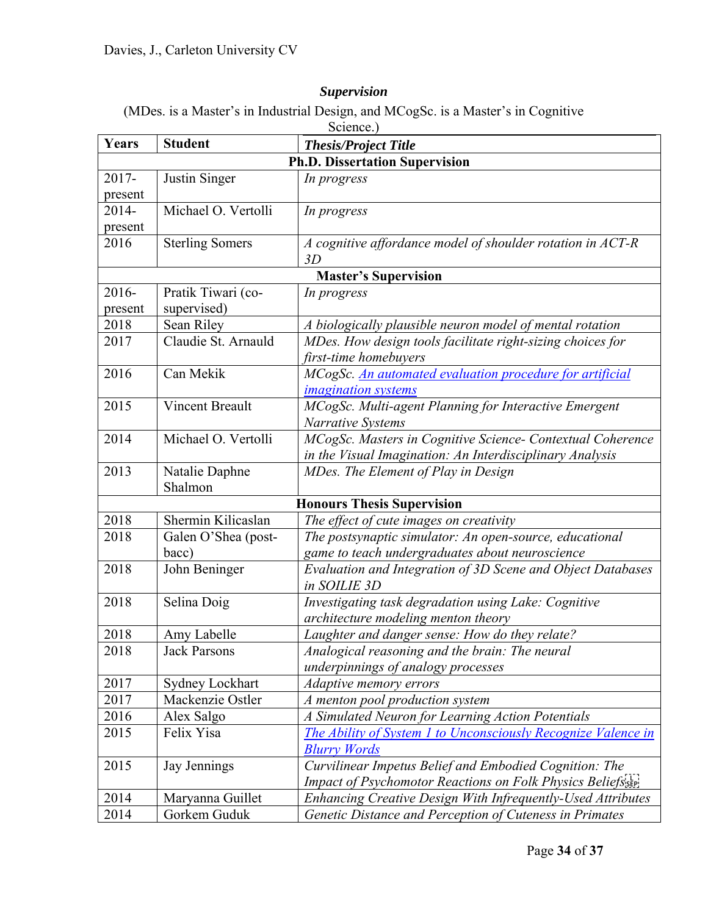# *Supervision*

(MDes. is a Master's in Industrial Design, and MCogSc. is a Master's in Cognitive

| Science.) |                                               |                                                                             |  |  |
|-----------|-----------------------------------------------|-----------------------------------------------------------------------------|--|--|
| Years     | <b>Student</b><br><b>Thesis/Project Title</b> |                                                                             |  |  |
|           | <b>Ph.D. Dissertation Supervision</b>         |                                                                             |  |  |
| 2017-     | Justin Singer                                 | In progress                                                                 |  |  |
| present   |                                               |                                                                             |  |  |
| 2014-     | Michael O. Vertolli                           | In progress                                                                 |  |  |
| present   |                                               |                                                                             |  |  |
| 2016      | <b>Sterling Somers</b>                        | A cognitive affordance model of shoulder rotation in ACT-R<br>3D            |  |  |
|           |                                               | <b>Master's Supervision</b>                                                 |  |  |
| 2016-     | Pratik Tiwari (co-                            | In progress                                                                 |  |  |
| present   | supervised)                                   |                                                                             |  |  |
| 2018      | Sean Riley                                    | A biologically plausible neuron model of mental rotation                    |  |  |
| 2017      | Claudie St. Arnauld                           | MDes. How design tools facilitate right-sizing choices for                  |  |  |
|           |                                               | first-time homebuyers                                                       |  |  |
| 2016      | Can Mekik                                     | MCogSc. An automated evaluation procedure for artificial                    |  |  |
|           |                                               | <i>imagination systems</i>                                                  |  |  |
| 2015      | <b>Vincent Breault</b>                        | MCogSc. Multi-agent Planning for Interactive Emergent                       |  |  |
|           |                                               | <b>Narrative Systems</b>                                                    |  |  |
| 2014      | Michael O. Vertolli                           | MCogSc. Masters in Cognitive Science- Contextual Coherence                  |  |  |
|           |                                               | in the Visual Imagination: An Interdisciplinary Analysis                    |  |  |
| 2013      | Natalie Daphne                                | MDes. The Element of Play in Design                                         |  |  |
| Shalmon   |                                               |                                                                             |  |  |
|           |                                               | <b>Honours Thesis Supervision</b>                                           |  |  |
| 2018      | Shermin Kilicaslan                            | The effect of cute images on creativity                                     |  |  |
| 2018      | Galen O'Shea (post-                           | The postsynaptic simulator: An open-source, educational                     |  |  |
|           | bacc)                                         | game to teach undergraduates about neuroscience                             |  |  |
| 2018      | John Beninger                                 | Evaluation and Integration of 3D Scene and Object Databases<br>in SOILIE 3D |  |  |
| 2018      | Selina Doig                                   | Investigating task degradation using Lake: Cognitive                        |  |  |
|           |                                               | architecture modeling menton theory                                         |  |  |
| 2018      | Amy Labelle                                   | Laughter and danger sense: How do they relate?                              |  |  |
| 2018      | <b>Jack Parsons</b>                           | Analogical reasoning and the brain: The neural                              |  |  |
|           |                                               | underpinnings of analogy processes                                          |  |  |
| 2017      | Sydney Lockhart                               | Adaptive memory errors                                                      |  |  |
| 2017      | Mackenzie Ostler                              | A menton pool production system                                             |  |  |
| 2016      | Alex Salgo                                    | A Simulated Neuron for Learning Action Potentials                           |  |  |
| 2015      | Felix Yisa                                    | The Ability of System 1 to Unconsciously Recognize Valence in               |  |  |
|           |                                               | <b>Blurry Words</b>                                                         |  |  |
| 2015      | Jay Jennings                                  | Curvilinear Impetus Belief and Embodied Cognition: The                      |  |  |
|           |                                               | Impact of Psychomotor Reactions on Folk Physics Beliefs sep-                |  |  |
| 2014      | Maryanna Guillet                              | Enhancing Creative Design With Infrequently-Used Attributes                 |  |  |
| 2014      | Gorkem Guduk                                  | Genetic Distance and Perception of Cuteness in Primates                     |  |  |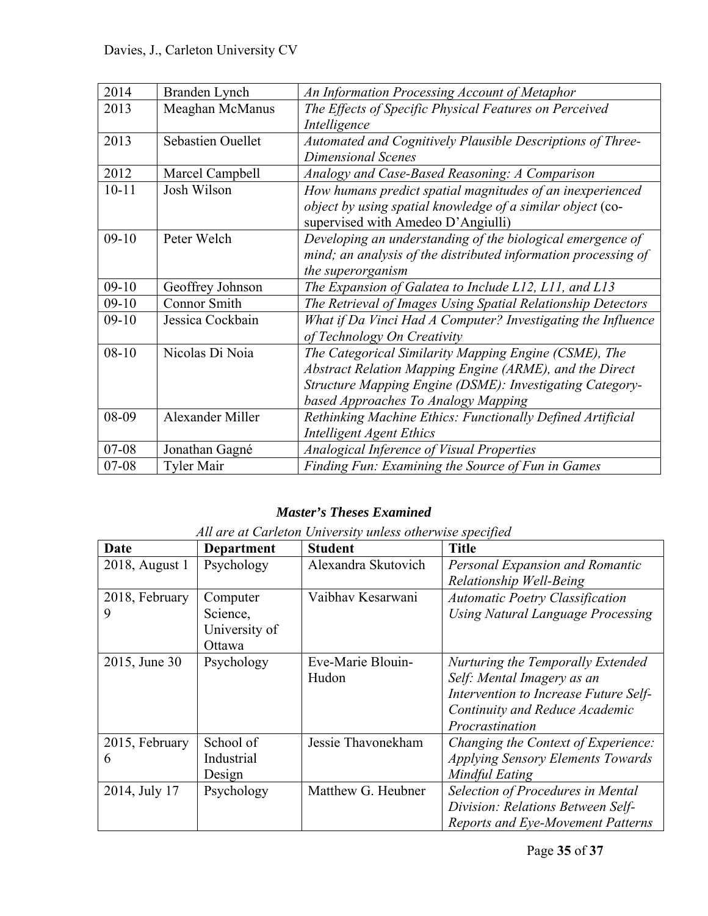| 2014      | Branden Lynch            | An Information Processing Account of Metaphor                  |  |  |
|-----------|--------------------------|----------------------------------------------------------------|--|--|
| 2013      | Meaghan McManus          | The Effects of Specific Physical Features on Perceived         |  |  |
|           |                          | Intelligence                                                   |  |  |
| 2013      | <b>Sebastien Ouellet</b> | Automated and Cognitively Plausible Descriptions of Three-     |  |  |
|           |                          | <b>Dimensional Scenes</b>                                      |  |  |
| 2012      | Marcel Campbell          | Analogy and Case-Based Reasoning: A Comparison                 |  |  |
| $10 - 11$ | Josh Wilson              | How humans predict spatial magnitudes of an inexperienced      |  |  |
|           |                          | object by using spatial knowledge of a similar object (co-     |  |  |
|           |                          | supervised with Amedeo D'Angiulli)                             |  |  |
| $09-10$   | Peter Welch              | Developing an understanding of the biological emergence of     |  |  |
|           |                          | mind; an analysis of the distributed information processing of |  |  |
|           |                          | the superorganism                                              |  |  |
| $09-10$   | Geoffrey Johnson         | The Expansion of Galatea to Include L12, L11, and L13          |  |  |
| $09-10$   | <b>Connor Smith</b>      | The Retrieval of Images Using Spatial Relationship Detectors   |  |  |
| $09-10$   | Jessica Cockbain         | What if Da Vinci Had A Computer? Investigating the Influence   |  |  |
|           |                          | of Technology On Creativity                                    |  |  |
| $08 - 10$ | Nicolas Di Noia          | The Categorical Similarity Mapping Engine (CSME), The          |  |  |
|           |                          | Abstract Relation Mapping Engine (ARME), and the Direct        |  |  |
|           |                          | Structure Mapping Engine (DSME): Investigating Category-       |  |  |
|           |                          | based Approaches To Analogy Mapping                            |  |  |
| 08-09     | Alexander Miller         | Rethinking Machine Ethics: Functionally Defined Artificial     |  |  |
|           |                          | <b>Intelligent Agent Ethics</b>                                |  |  |
| 07-08     | Jonathan Gagné           | Analogical Inference of Visual Properties                      |  |  |
| $07 - 08$ | <b>Tyler Mair</b>        | Finding Fun: Examining the Source of Fun in Games              |  |  |

# *Master's Theses Examined*

| All are at Carleton University unless otherwise specified |
|-----------------------------------------------------------|
|-----------------------------------------------------------|

| Date           | <b>Department</b> | <b>Student</b>      | <b>Title</b>                             |
|----------------|-------------------|---------------------|------------------------------------------|
| 2018, August 1 | Psychology        | Alexandra Skutovich | Personal Expansion and Romantic          |
|                |                   |                     | Relationship Well-Being                  |
| 2018, February | Computer          | Vaibhav Kesarwani   | <b>Automatic Poetry Classification</b>   |
| 9              | Science,          |                     | <b>Using Natural Language Processing</b> |
|                | University of     |                     |                                          |
|                | Ottawa            |                     |                                          |
| 2015, June 30  | Psychology        | Eve-Marie Blouin-   | Nurturing the Temporally Extended        |
|                |                   | Hudon               | Self: Mental Imagery as an               |
|                |                   |                     | Intervention to Increase Future Self-    |
|                |                   |                     | Continuity and Reduce Academic           |
|                |                   |                     | Procrastination                          |
| 2015, February | School of         | Jessie Thavonekham  | Changing the Context of Experience:      |
| 6              | Industrial        |                     | <b>Applying Sensory Elements Towards</b> |
|                | Design            |                     | <b>Mindful Eating</b>                    |
| 2014, July 17  | Psychology        | Matthew G. Heubner  | Selection of Procedures in Mental        |
|                |                   |                     | Division: Relations Between Self-        |
|                |                   |                     | <b>Reports and Eye-Movement Patterns</b> |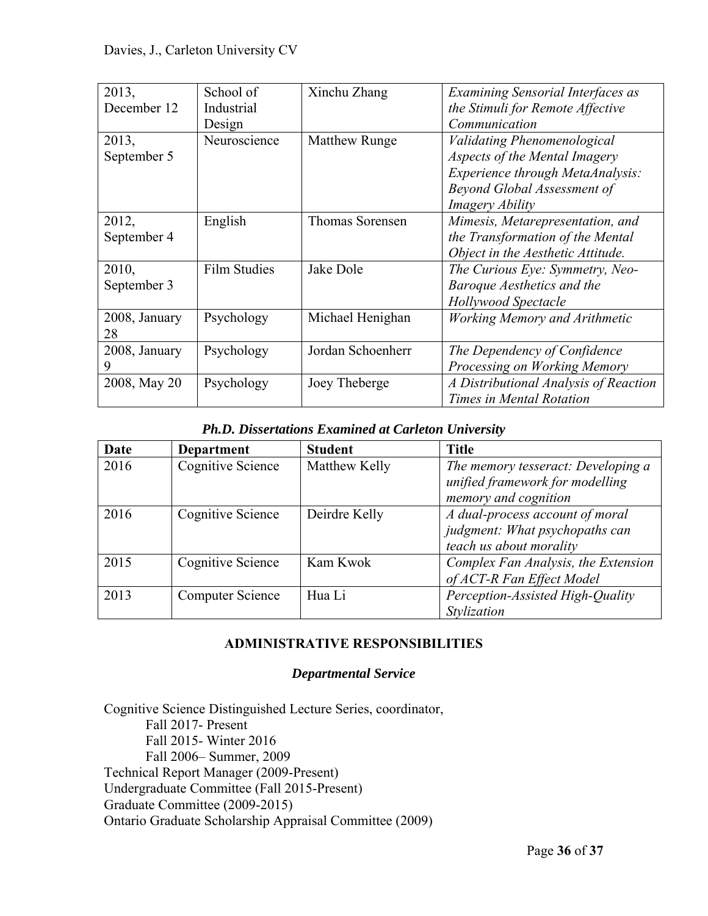| 2013,         | School of           | Xinchu Zhang           | <b>Examining Sensorial Interfaces as</b> |
|---------------|---------------------|------------------------|------------------------------------------|
| December 12   | Industrial          |                        | the Stimuli for Remote Affective         |
|               | Design              |                        | Communication                            |
| 2013,         | Neuroscience        | <b>Matthew Runge</b>   | Validating Phenomenological              |
| September 5   |                     |                        | Aspects of the Mental Imagery            |
|               |                     |                        | Experience through MetaAnalysis:         |
|               |                     |                        | Beyond Global Assessment of              |
|               |                     |                        | Imagery Ability                          |
| 2012,         | English             | <b>Thomas Sorensen</b> | Mimesis, Metarepresentation, and         |
| September 4   |                     |                        | the Transformation of the Mental         |
|               |                     |                        | Object in the Aesthetic Attitude.        |
| 2010,         | <b>Film Studies</b> | Jake Dole              | The Curious Eye: Symmetry, Neo-          |
| September 3   |                     |                        | Baroque Aesthetics and the               |
|               |                     |                        | <b>Hollywood Spectacle</b>               |
| 2008, January | Psychology          | Michael Henighan       | <b>Working Memory and Arithmetic</b>     |
| 28            |                     |                        |                                          |
| 2008, January | Psychology          | Jordan Schoenherr      | The Dependency of Confidence             |
| 9             |                     |                        | Processing on Working Memory             |
| 2008, May 20  | Psychology          | Joey Theberge          | A Distributional Analysis of Reaction    |
|               |                     |                        | Times in Mental Rotation                 |

#### *Ph.D. Dissertations Examined at Carleton University*

| Date | <b>Department</b> | <b>Student</b> | <b>Title</b>                                                                                  |
|------|-------------------|----------------|-----------------------------------------------------------------------------------------------|
| 2016 | Cognitive Science | Matthew Kelly  | The memory tesseract: Developing a<br>unified framework for modelling<br>memory and cognition |
| 2016 | Cognitive Science | Deirdre Kelly  | A dual-process account of moral<br>judgment: What psychopaths can<br>teach us about morality  |
| 2015 | Cognitive Science | Kam Kwok       | Complex Fan Analysis, the Extension<br>of ACT-R Fan Effect Model                              |
| 2013 | Computer Science  | Hua Li         | Perception-Assisted High-Quality<br>Stylization                                               |

# **ADMINISTRATIVE RESPONSIBILITIES**

#### *Departmental Service*

Cognitive Science Distinguished Lecture Series, coordinator, Fall 2017- Present Fall 2015- Winter 2016 Fall 2006– Summer, 2009 Technical Report Manager (2009-Present) Undergraduate Committee (Fall 2015-Present) Graduate Committee (2009-2015) Ontario Graduate Scholarship Appraisal Committee (2009)